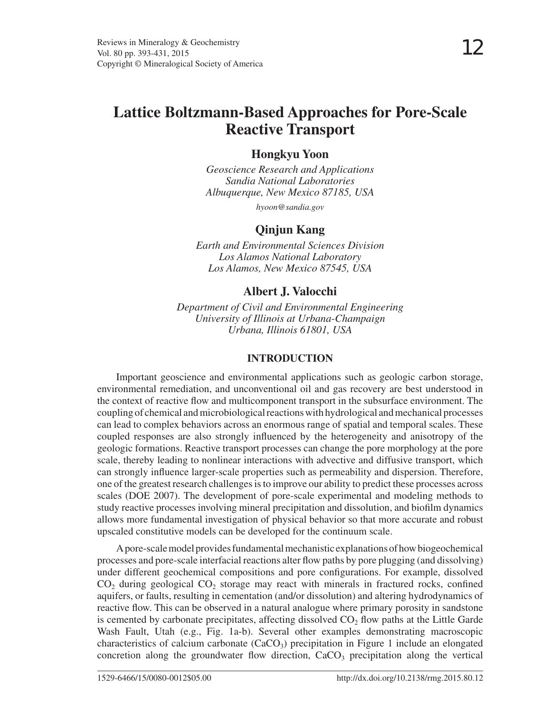# **Lattice Boltzmann-Based Approaches for Pore-Scale Reactive Transport**

# **Hongkyu Yoon**

*Geoscience Research and Applications Sandia National Laboratories Albuquerque, New Mexico 87185, USA*

*hyoon@sandia.gov*

# **Qinjun Kang**

*Earth and Environmental Sciences Division Los Alamos National Laboratory Los Alamos, New Mexico 87545, USA*

# **Albert J. Valocchi**

*Department of Civil and Environmental Engineering University of Illinois at Urbana-Champaign Urbana, Illinois 61801, USA*

# **INTRODUCTION**

Important geoscience and environmental applications such as geologic carbon storage, environmental remediation, and unconventional oil and gas recovery are best understood in the context of reactive flow and multicomponent transport in the subsurface environment. The coupling of chemical and microbiological reactions with hydrological and mechanical processes can lead to complex behaviors across an enormous range of spatial and temporal scales. These coupled responses are also strongly influenced by the heterogeneity and anisotropy of the geologic formations. Reactive transport processes can change the pore morphology at the pore scale, thereby leading to nonlinear interactions with advective and diffusive transport, which can strongly influence larger-scale properties such as permeability and dispersion. Therefore, one of the greatest research challenges is to improve our ability to predict these processes across scales (DOE 2007). The development of pore-scale experimental and modeling methods to study reactive processes involving mineral precipitation and dissolution, and biofilm dynamics allows more fundamental investigation of physical behavior so that more accurate and robust upscaled constitutive models can be developed for the continuum scale.

A pore-scale model provides fundamental mechanistic explanations of how biogeochemical processes and pore-scale interfacial reactions alter flow paths by pore plugging (and dissolving) under different geochemical compositions and pore configurations. For example, dissolved  $CO<sub>2</sub>$  during geological  $CO<sub>2</sub>$  storage may react with minerals in fractured rocks, confined aquifers, or faults, resulting in cementation (and/or dissolution) and altering hydrodynamics of reactive flow. This can be observed in a natural analogue where primary porosity in sandstone is cemented by carbonate precipitates, affecting dissolved  $CO<sub>2</sub>$  flow paths at the Little Garde Wash Fault, Utah (e.g., Fig. 1a-b). Several other examples demonstrating macroscopic characteristics of calcium carbonate  $(CaCO<sub>3</sub>)$  precipitation in Figure 1 include an elongated concretion along the groundwater flow direction,  $CaCO<sub>3</sub>$  precipitation along the vertical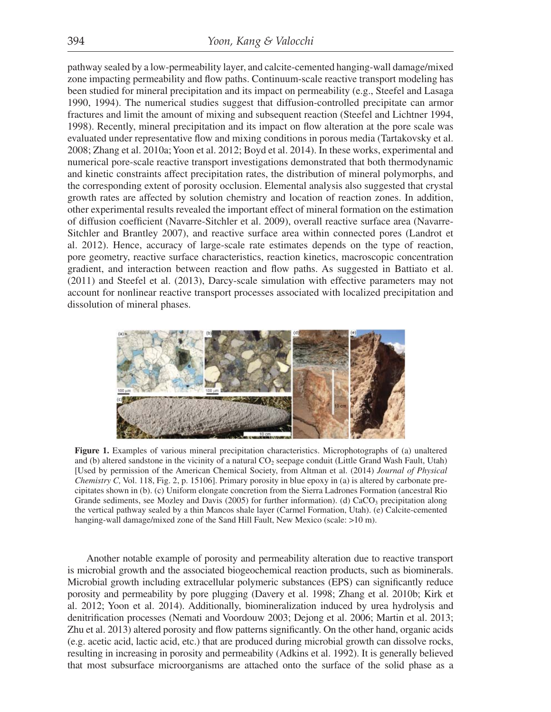pathway sealed by a low-permeability layer, and calcite-cemented hanging-wall damage/mixed zone impacting permeability and flow paths. Continuum-scale reactive transport modeling has been studied for mineral precipitation and its impact on permeability (e.g., Steefel and Lasaga 1990, 1994). The numerical studies suggest that diffusion-controlled precipitate can armor fractures and limit the amount of mixing and subsequent reaction (Steefel and Lichtner 1994, 1998). Recently, mineral precipitation and its impact on flow alteration at the pore scale was evaluated under representative flow and mixing conditions in porous media (Tartakovsky et al. 2008; Zhang et al. 2010a; Yoon et al. 2012; Boyd et al. 2014). In these works, experimental and numerical pore-scale reactive transport investigations demonstrated that both thermodynamic and kinetic constraints affect precipitation rates, the distribution of mineral polymorphs, and the corresponding extent of porosity occlusion. Elemental analysis also suggested that crystal growth rates are affected by solution chemistry and location of reaction zones. In addition, other experimental results revealed the important effect of mineral formation on the estimation of diffusion coefficient (Navarre-Sitchler et al. 2009), overall reactive surface area (Navarre-Sitchler and Brantley 2007), and reactive surface area within connected pores (Landrot et al. 2012). Hence, accuracy of large-scale rate estimates depends on the type of reaction, pore geometry, reactive surface characteristics, reaction kinetics, macroscopic concentration gradient, and interaction between reaction and flow paths. As suggested in Battiato et al. (2011) and Steefel et al. (2013), Darcy-scale simulation with effective parameters may not account for nonlinear reactive transport processes associated with localized precipitation and dissolution of mineral phases.



**Figure 1.** Examples of various mineral precipitation characteristics. Microphotographs of (a) unaltered and (b) altered sandstone in the vicinity of a natural  $CO<sub>2</sub>$  seepage conduit (Little Grand Wash Fault, Utah) [Used by permission of the American Chemical Society, from Altman et al. (2014) *Journal of Physical Chemistry C,* Vol. 118, Fig. 2, p. 15106]. Primary porosity in blue epoxy in (a) is altered by carbonate precipitates shown in (b). (c) Uniform elongate concretion from the Sierra Ladrones Formation (ancestral Rio Grande sediments, see Mozley and Davis (2005) for further information). (d) CaCO<sub>3</sub> precipitation along the vertical pathway sealed by a thin Mancos shale layer (Carmel Formation, Utah). (e) Calcite-cemented hanging-wall damage/mixed zone of the Sand Hill Fault, New Mexico (scale: >10 m).

Another notable example of porosity and permeability alteration due to reactive transport is microbial growth and the associated biogeochemical reaction products, such as biominerals. Microbial growth including extracellular polymeric substances (EPS) can significantly reduce porosity and permeability by pore plugging (Davery et al. 1998; Zhang et al. 2010b; Kirk et al. 2012; Yoon et al. 2014). Additionally, biomineralization induced by urea hydrolysis and denitrification processes (Nemati and Voordouw 2003; Dejong et al. 2006; Martin et al. 2013; Zhu et al. 2013) altered porosity and flow patterns significantly. On the other hand, organic acids (e.g. acetic acid, lactic acid, etc.) that are produced during microbial growth can dissolve rocks, resulting in increasing in porosity and permeability (Adkins et al. 1992). It is generally believed that most subsurface microorganisms are attached onto the surface of the solid phase as a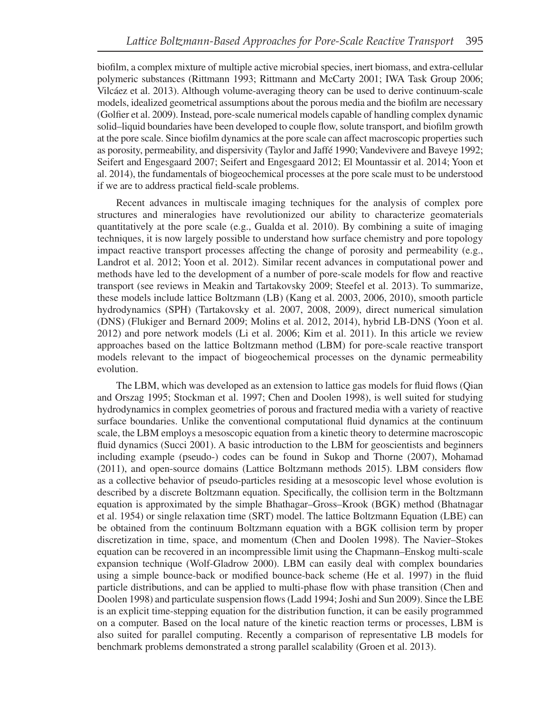biofilm, a complex mixture of multiple active microbial species, inert biomass, and extra-cellular polymeric substances (Rittmann 1993; Rittmann and McCarty 2001; IWA Task Group 2006; Vilcáez et al. 2013). Although volume-averaging theory can be used to derive continuum-scale models, idealized geometrical assumptions about the porous media and the biofilm are necessary (Golfier et al. 2009). Instead, pore-scale numerical models capable of handling complex dynamic solid–liquid boundaries have been developed to couple flow, solute transport, and biofilm growth at the pore scale. Since biofilm dynamics at the pore scale can affect macroscopic properties such as porosity, permeability, and dispersivity (Taylor and Jaffé 1990; Vandevivere and Baveye 1992; Seifert and Engesgaard 2007; Seifert and Engesgaard 2012; El Mountassir et al. 2014; Yoon et al. 2014), the fundamentals of biogeochemical processes at the pore scale must to be understood if we are to address practical field-scale problems.

Recent advances in multiscale imaging techniques for the analysis of complex pore structures and mineralogies have revolutionized our ability to characterize geomaterials quantitatively at the pore scale (e.g., Gualda et al. 2010). By combining a suite of imaging techniques, it is now largely possible to understand how surface chemistry and pore topology impact reactive transport processes affecting the change of porosity and permeability (e.g., Landrot et al. 2012; Yoon et al. 2012). Similar recent advances in computational power and methods have led to the development of a number of pore-scale models for flow and reactive transport (see reviews in Meakin and Tartakovsky 2009; Steefel et al. 2013). To summarize, these models include lattice Boltzmann (LB) (Kang et al. 2003, 2006, 2010), smooth particle hydrodynamics (SPH) (Tartakovsky et al. 2007, 2008, 2009), direct numerical simulation (DNS) (Flukiger and Bernard 2009; Molins et al. 2012, 2014), hybrid LB-DNS (Yoon et al. 2012) and pore network models (Li et al. 2006; Kim et al. 2011). In this article we review approaches based on the lattice Boltzmann method (LBM) for pore-scale reactive transport models relevant to the impact of biogeochemical processes on the dynamic permeability evolution.

The LBM, which was developed as an extension to lattice gas models for fluid flows (Qian and Orszag 1995; Stockman et al. 1997; Chen and Doolen 1998), is well suited for studying hydrodynamics in complex geometries of porous and fractured media with a variety of reactive surface boundaries. Unlike the conventional computational fluid dynamics at the continuum scale, the LBM employs a mesoscopic equation from a kinetic theory to determine macroscopic fluid dynamics (Succi 2001). A basic introduction to the LBM for geoscientists and beginners including example (pseudo-) codes can be found in Sukop and Thorne (2007), Mohamad  $(2011)$ , and open-source domains (Lattice Boltzmann methods 2015). LBM considers flow as a collective behavior of pseudo-particles residing at a mesoscopic level whose evolution is described by a discrete Boltzmann equation. Specifically, the collision term in the Boltzmann equation is approximated by the simple Bhathagar–Gross–Krook (BGK) method (Bhatnagar et al. 1954) or single relaxation time (SRT) model. The lattice Boltzmann Equation (LBE) can be obtained from the continuum Boltzmann equation with a BGK collision term by proper discretization in time, space, and momentum (Chen and Doolen 1998). The Navier–Stokes equation can be recovered in an incompressible limit using the Chapmann–Enskog multi-scale expansion technique (Wolf-Gladrow 2000). LBM can easily deal with complex boundaries using a simple bounce-back or modified bounce-back scheme (He et al. 1997) in the fluid particle distributions, and can be applied to multi-phase flow with phase transition (Chen and Doolen 1998) and particulate suspension flows (Ladd 1994; Joshi and Sun 2009). Since the LBE is an explicit time-stepping equation for the distribution function, it can be easily programmed on a computer. Based on the local nature of the kinetic reaction terms or processes, LBM is also suited for parallel computing. Recently a comparison of representative LB models for benchmark problems demonstrated a strong parallel scalability (Groen et al. 2013).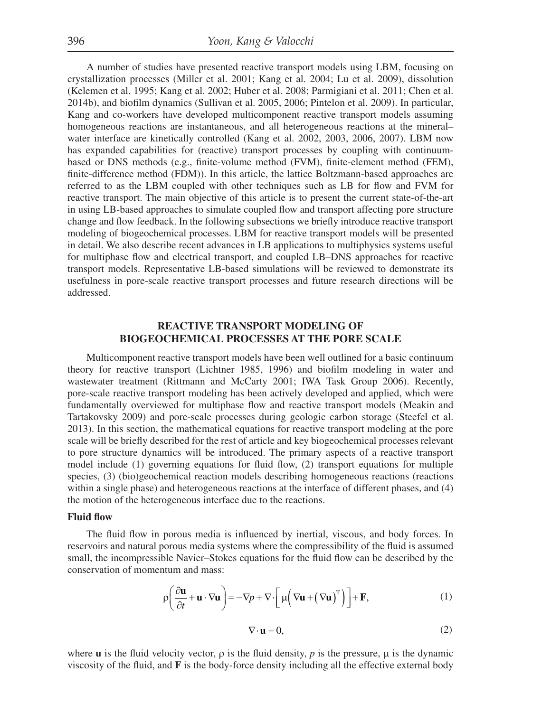A number of studies have presented reactive transport models using LBM, focusing on crystallization processes (Miller et al. 2001; Kang et al. 2004; Lu et al. 2009), dissolution (Kelemen et al. 1995; Kang et al. 2002; Huber et al. 2008; Parmigiani et al. 2011; Chen et al. 2014b), and biofilm dynamics (Sullivan et al. 2005, 2006; Pintelon et al. 2009). In particular, Kang and co-workers have developed multicomponent reactive transport models assuming homogeneous reactions are instantaneous, and all heterogeneous reactions at the mineral– water interface are kinetically controlled (Kang et al. 2002, 2003, 2006, 2007). LBM now has expanded capabilities for (reactive) transport processes by coupling with continuumbased or DNS methods (e.g., finite-volume method (FVM), finite-element method (FEM), finite-difference method (FDM)). In this article, the lattice Boltzmann-based approaches are referred to as the LBM coupled with other techniques such as LB for flow and FVM for reactive transport. The main objective of this article is to present the current state-of-the-art in using LB-based approaches to simulate coupled flow and transport affecting pore structure change and flow feedback. In the following subsections we briefly introduce reactive transport modeling of biogeochemical processes. LBM for reactive transport models will be presented in detail. We also describe recent advances in LB applications to multiphysics systems useful for multiphase flow and electrical transport, and coupled LB–DNS approaches for reactive transport models. Representative LB-based simulations will be reviewed to demonstrate its usefulness in pore-scale reactive transport processes and future research directions will be addressed.

# **REACTIVE TRANSPORT MODELING OF BIOGEOCHEMICAL PROCESSES AT THE PORE SCALE**

Multicomponent reactive transport models have been well outlined for a basic continuum theory for reactive transport (Lichtner 1985, 1996) and biofilm modeling in water and wastewater treatment (Rittmann and McCarty 2001; IWA Task Group 2006). Recently, pore-scale reactive transport modeling has been actively developed and applied, which were fundamentally overviewed for multiphase flow and reactive transport models (Meakin and Tartakovsky 2009) and pore-scale processes during geologic carbon storage (Steefel et al. 2013). In this section, the mathematical equations for reactive transport modeling at the pore scale will be briefly described for the rest of article and key biogeochemical processes relevant to pore structure dynamics will be introduced. The primary aspects of a reactive transport model include  $(1)$  governing equations for fluid flow,  $(2)$  transport equations for multiple species, (3) (bio)geochemical reaction models describing homogeneous reactions (reactions within a single phase) and heterogeneous reactions at the interface of different phases, and (4) the motion of the heterogeneous interface due to the reactions.

#### **Fluid flow**

The fluid flow in porous media is influenced by inertial, viscous, and body forces. In reservoirs and natural porous media systems where the compressibility of the fluid is assumed small, the incompressible Navier–Stokes equations for the fluid flow can be described by the conservation of momentum and mass:

$$
\rho \left( \frac{\partial \mathbf{u}}{\partial t} + \mathbf{u} \cdot \nabla \mathbf{u} \right) = -\nabla p + \nabla \cdot \left[ \mu \left( \nabla \mathbf{u} + (\nabla \mathbf{u})^T \right) \right] + \mathbf{F}, \tag{1}
$$

$$
\nabla \cdot \mathbf{u} = 0,\tag{2}
$$

where **u** is the fluid velocity vector,  $\rho$  is the fluid density,  $p$  is the pressure,  $\mu$  is the dynamic viscosity of the fluid, and  $\bf{F}$  is the body-force density including all the effective external body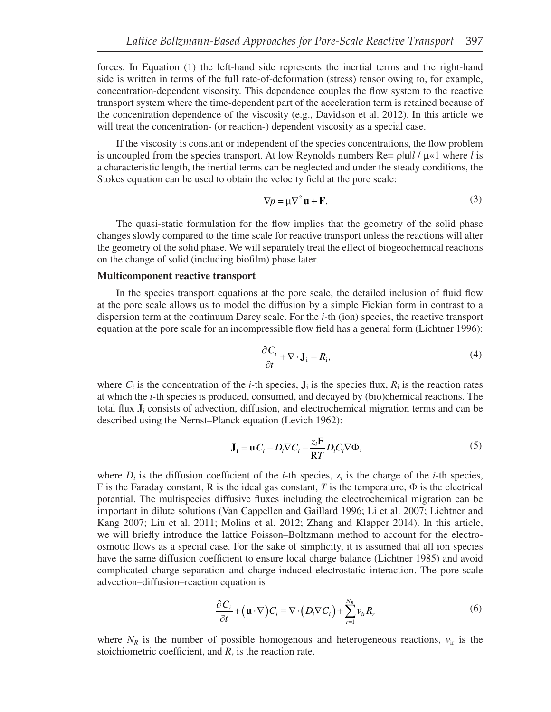forces. In Equation (1) the left-hand side represents the inertial terms and the right-hand side is written in terms of the full rate-of-deformation (stress) tensor owing to, for example, concentration-dependent viscosity. This dependence couples the flow system to the reactive transport system where the time-dependent part of the acceleration term is retained because of the concentration dependence of the viscosity (e.g., Davidson et al. 2012). In this article we will treat the concentration- (or reaction-) dependent viscosity as a special case.

If the viscosity is constant or independent of the species concentrations, the flow problem is uncoupled from the species transport. At low Reynolds numbers  $\text{Re} = \rho |u| / \mu$  where *l* is a characteristic length, the inertial terms can be neglected and under the steady conditions, the Stokes equation can be used to obtain the velocity field at the pore scale:

$$
\nabla p = \mu \nabla^2 \mathbf{u} + \mathbf{F}.\tag{3}
$$

The quasi-static formulation for the flow implies that the geometry of the solid phase changes slowly compared to the time scale for reactive transport unless the reactions will alter the geometry of the solid phase. We will separately treat the effect of biogeochemical reactions on the change of solid (including biofilm) phase later.

# **Multicomponent reactive transport**

In the species transport equations at the pore scale, the detailed inclusion of fluid flow at the pore scale allows us to model the diffusion by a simple Fickian form in contrast to a dispersion term at the continuum Darcy scale. For the *i-*th (ion) species, the reactive transport equation at the pore scale for an incompressible flow field has a general form (Lichtner 1996):

$$
\frac{\partial C_i}{\partial t} + \nabla \cdot \mathbf{J}_i = R_i,
$$
\n(4)

where  $C_i$  is the concentration of the *i*-th species,  $J_i$  is the species flux,  $R_i$  is the reaction rates at which the *i-*th species is produced, consumed, and decayed by (bio)chemical reactions. The total flux  $J_i$  consists of advection, diffusion, and electrochemical migration terms and can be described using the Nernst–Planck equation (Levich 1962):

$$
\mathbf{J}_{i} = \mathbf{u} C_{i} - D_{i} \nabla C_{i} - \frac{z_{i} F}{R T} D_{i} C_{i} \nabla \Phi,
$$
\n(5)

where  $D_i$  is the diffusion coefficient of the *i*-th species,  $z_i$  is the charge of the *i*-th species, F is the Faraday constant, R is the ideal gas constant, T is the temperature,  $\Phi$  is the electrical potential. The multispecies diffusive fluxes including the electrochemical migration can be important in dilute solutions (Van Cappellen and Gaillard 1996; Li et al. 2007; Lichtner and Kang 2007; Liu et al. 2011; Molins et al. 2012; Zhang and Klapper 2014). In this article, we will briefly introduce the lattice Poisson–Boltzmann method to account for the electroosmotic flows as a special case. For the sake of simplicity, it is assumed that all ion species have the same diffusion coefficient to ensure local charge balance (Lichtner 1985) and avoid complicated charge-separation and charge-induced electrostatic interaction. The pore-scale advection–diffusion–reaction equation is

$$
\frac{\partial C_i}{\partial t} + (\mathbf{u} \cdot \nabla) C_i = \nabla \cdot (D_i \nabla C_i) + \sum_{r=1}^{N_R} v_{ir} R_r
$$
\n(6)

where  $N_R$  is the number of possible homogenous and heterogeneous reactions,  $v_{ir}$  is the stoichiometric coefficient, and  $R_r$  is the reaction rate.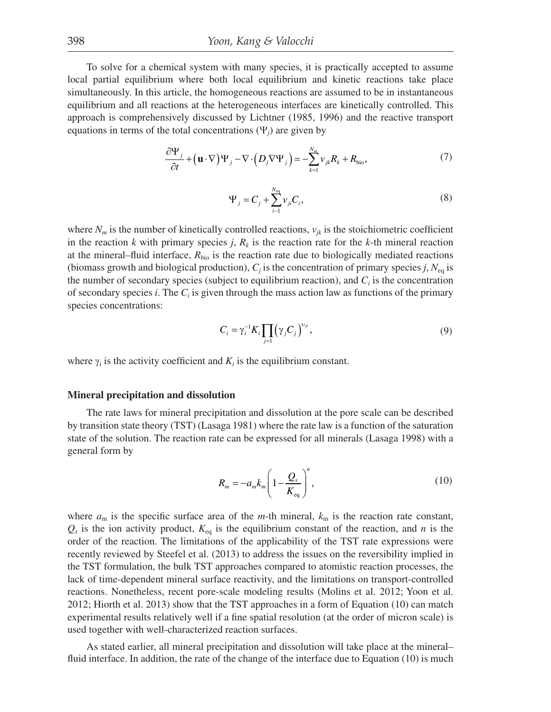To solve for a chemical system with many species, it is practically accepted to assume local partial equilibrium where both local equilibrium and kinetic reactions take place simultaneously. In this article, the homogeneous reactions are assumed to be in instantaneous equilibrium and all reactions at the heterogeneous interfaces are kinetically controlled. This approach is comprehensively discussed by Lichtner (1985, 1996) and the reactive transport equations in terms of the total concentrations  $(\Psi_i)$  are given by

$$
\frac{\partial \Psi_j}{\partial t} + (\mathbf{u} \cdot \nabla) \Psi_j - \nabla \cdot (D_j \nabla \Psi_j) = -\sum_{k=1}^{N_m} v_{jk} R_k + R_{\text{bio}},\tag{7}
$$

$$
\Psi_j = C_j + \sum_{i=1}^{N_{\text{eq}}} v_{ji} C_i, \tag{8}
$$

where  $N_m$  is the number of kinetically controlled reactions,  $v_{jk}$  is the stoichiometric coefficient in the reaction *k* with primary species *j*,  $R_k$  is the reaction rate for the *k*-th mineral reaction at the mineral–fluid interface,  $R_{bio}$  is the reaction rate due to biologically mediated reactions (biomass growth and biological production),  $C_i$  is the concentration of primary species *j*,  $N_{eq}$  is the number of secondary species (subject to equilibrium reaction), and  $C_i$  is the concentration of secondary species  $i$ . The  $C_i$  is given through the mass action law as functions of the primary species concentrations:

$$
C_i = \gamma_i^{-1} K_i \prod_{j=1} \left( \gamma_j C_j \right)^{v_{ji}},\tag{9}
$$

where  $\gamma_i$  is the activity coefficient and  $K_i$  is the equilibrium constant.

#### **Mineral precipitation and dissolution**

The rate laws for mineral precipitation and dissolution at the pore scale can be described by transition state theory (TST) (Lasaga 1981) where the rate law is a function of the saturation state of the solution. The reaction rate can be expressed for all minerals (Lasaga 1998) with a general form by

$$
R_m = -a_m k_m \left( 1 - \frac{Q_s}{K_{\text{eq}}} \right)^n,\tag{10}
$$

where  $a_m$  is the specific surface area of the *m*-th mineral,  $k_m$  is the reaction rate constant,  $Q_s$  is the ion activity product,  $K_{eq}$  is the equilibrium constant of the reaction, and *n* is the order of the reaction. The limitations of the applicability of the TST rate expressions were recently reviewed by Steefel et al. (2013) to address the issues on the reversibility implied in the TST formulation, the bulk TST approaches compared to atomistic reaction processes, the lack of time-dependent mineral surface reactivity, and the limitations on transport-controlled reactions. Nonetheless, recent pore-scale modeling results (Molins et al. 2012; Yoon et al. 2012; Hiorth et al. 2013) show that the TST approaches in a form of Equation (10) can match experimental results relatively well if a fine spatial resolution (at the order of micron scale) is used together with well-characterized reaction surfaces.

As stated earlier, all mineral precipitation and dissolution will take place at the mineral– fluid interface. In addition, the rate of the change of the interface due to Equation  $(10)$  is much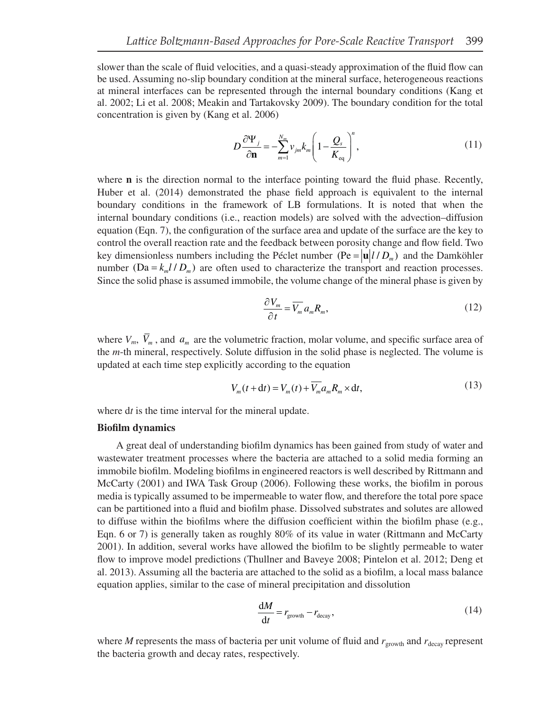slower than the scale of fluid velocities, and a quasi-steady approximation of the fluid flow can be used. Assuming no-slip boundary condition at the mineral surface, heterogeneous reactions at mineral interfaces can be represented through the internal boundary conditions (Kang et al. 2002; Li et al. 2008; Meakin and Tartakovsky 2009). The boundary condition for the total concentration is given by (Kang et al. 2006)

$$
D\frac{\partial \Psi_j}{\partial \mathbf{n}} = -\sum_{m=1}^{N_m} v_{jm} k_m \left(1 - \frac{Q_s}{K_{\text{eq}}}\right)^n, \tag{11}
$$

where  **is the direction normal to the interface pointing toward the fluid phase. Recently,** Huber et al. (2014) demonstrated the phase field approach is equivalent to the internal boundary conditions in the framework of LB formulations. It is noted that when the internal boundary conditions (i.e., reaction models) are solved with the advection–diffusion equation (Eqn. 7), the configuration of the surface area and update of the surface are the key to control the overall reaction rate and the feedback between porosity change and flow field. Two key dimensionless numbers including the Péclet number (Pe =  $|\mathbf{u}|/D_m$ ) and the Damköhler number ( $Da = k_m l / D_m$ ) are often used to characterize the transport and reaction processes. Since the solid phase is assumed immobile, the volume change of the mineral phase is given by

$$
\frac{\partial V_m}{\partial t} = \overline{V_m} a_m R_m, \qquad (12)
$$

where  $V_m$ ,  $\overline{V}_m$ , and  $a_m$  are the volumetric fraction, molar volume, and specific surface area of the *m*-th mineral, respectively. Solute diffusion in the solid phase is neglected. The volume is updated at each time step explicitly according to the equation

$$
V_m(t + dt) = V_m(t) + \overline{V_m} a_m R_m \times dt,
$$
\n(13)

where d*t* is the time interval for the mineral update.

#### **Biofilm dynamics**

A great deal of understanding biofilm dynamics has been gained from study of water and wastewater treatment processes where the bacteria are attached to a solid media forming an immobile biofilm. Modeling biofilms in engineered reactors is well described by Rittmann and McCarty (2001) and IWA Task Group (2006). Following these works, the biofilm in porous media is typically assumed to be impermeable to water flow, and therefore the total pore space can be partitioned into a fluid and biofilm phase. Dissolved substrates and solutes are allowed to diffuse within the biofilms where the diffusion coefficient within the biofilm phase (e.g., Eqn. 6 or 7) is generally taken as roughly 80% of its value in water (Rittmann and McCarty 2001). In addition, several works have allowed the biofilm to be slightly permeable to water flow to improve model predictions (Thullner and Baveye 2008; Pintelon et al. 2012; Deng et al. 2013). Assuming all the bacteria are attached to the solid as a biofilm, a local mass balance equation applies, similar to the case of mineral precipitation and dissolution

$$
\frac{dM}{dt} = r_{\text{growth}} - r_{\text{decay}},\tag{14}
$$

where *M* represents the mass of bacteria per unit volume of fluid and  $r_{\text{growth}}$  and  $r_{\text{decay}}$  represent the bacteria growth and decay rates, respectively.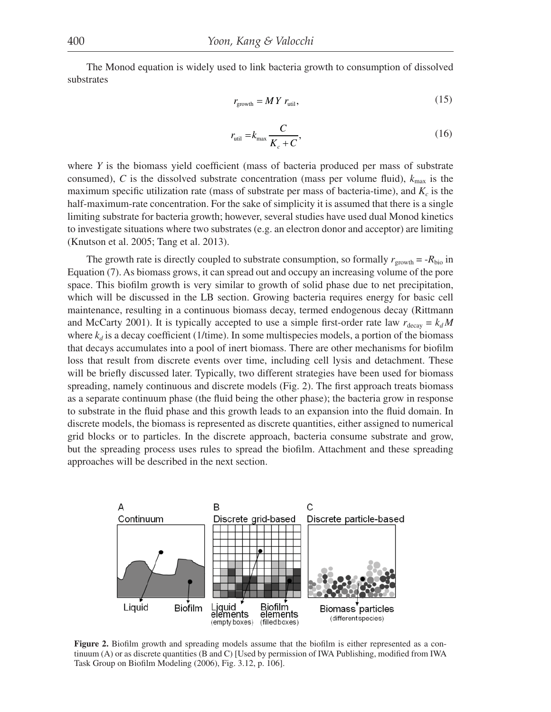The Monod equation is widely used to link bacteria growth to consumption of dissolved substrates

$$
r_{\text{growth}} = MY \ r_{\text{util}},\tag{15}
$$

$$
r_{\text{util}} = k_{\text{max}} \frac{C}{K_c + C},\tag{16}
$$

where *Y* is the biomass yield coefficient (mass of bacteria produced per mass of substrate consumed), *C* is the dissolved substrate concentration (mass per volume fluid),  $k_{\text{max}}$  is the maximum specific utilization rate (mass of substrate per mass of bacteria-time), and  $K_c$  is the half-maximum-rate concentration. For the sake of simplicity it is assumed that there is a single limiting substrate for bacteria growth; however, several studies have used dual Monod kinetics to investigate situations where two substrates (e.g. an electron donor and acceptor) are limiting (Knutson et al. 2005; Tang et al. 2013).

The growth rate is directly coupled to substrate consumption, so formally  $r_{\text{growth}} = -R_{\text{bio}}$  in Equation (7). As biomass grows, it can spread out and occupy an increasing volume of the pore space. This biofilm growth is very similar to growth of solid phase due to net precipitation, which will be discussed in the LB section. Growing bacteria requires energy for basic cell maintenance, resulting in a continuous biomass decay, termed endogenous decay (Rittmann and McCarty 2001). It is typically accepted to use a simple first-order rate law  $r_{\text{decay}} = k_d M$ where  $k_d$  is a decay coefficient (1/time). In some multispecies models, a portion of the biomass that decays accumulates into a pool of inert biomass. There are other mechanisms for biofilm loss that result from discrete events over time, including cell lysis and detachment. These will be briefly discussed later. Typically, two different strategies have been used for biomass spreading, namely continuous and discrete models  $(Fig. 2)$ . The first approach treats biomass as a separate continuum phase (the fluid being the other phase); the bacteria grow in response to substrate in the fluid phase and this growth leads to an expansion into the fluid domain. In discrete models, the biomass is represented as discrete quantities, either assigned to numerical grid blocks or to particles. In the discrete approach, bacteria consume substrate and grow, but the spreading process uses rules to spread the biofilm. Attachment and these spreading approaches will be described in the next section.



**Figure 2.** Biofilm growth and spreading models assume that the biofilm is either represented as a continuum  $(A)$  or as discrete quantities  $(B \text{ and } C)$  [Used by permission of IWA Publishing, modified from IWA Task Group on Biofilm Modeling  $(2006)$ , Fig. 3.12, p. 106].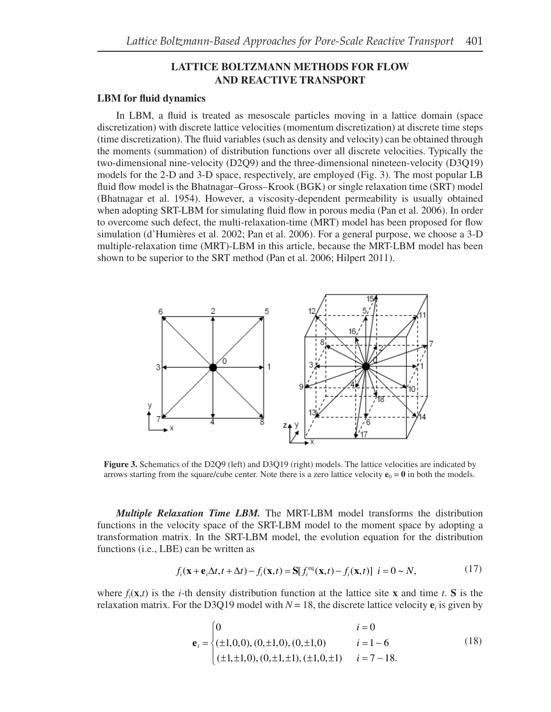# **LATTICE BOLTZMANN METHODS FOR FLOW AND REACTIVE TRANSPORT**

# **LBM** for fluid dynamics

In LBM, a fluid is treated as mesoscale particles moving in a lattice domain (space discretization) with discrete lattice velocities (momentum discretization) at discrete time steps (time discretization). The fluid variables (such as density and velocity) can be obtained through the moments (summation) of distribution functions over all discrete velocities. Typically the two-dimensional nine-velocity (D2Q9) and the three-dimensional nineteen-velocity (D3Q19) models for the 2-D and 3-D space, respectively, are employed (Fig. 3). The most popular LB fluid flow model is the Bhatnagar–Gross–Krook (BGK) or single relaxation time (SRT) model (Bhatnagar et al. 1954). However, a viscosity-dependent permeability is usually obtained when adopting SRT-LBM for simulating fluid flow in porous media (Pan et al. 2006). In order to overcome such defect, the multi-relaxation-time (MRT) model has been proposed for flow simulation (d'Humières et al. 2002; Pan et al. 2006). For a general purpose, we choose a 3-D multiple-relaxation time (MRT)-LBM in this article, because the MRT-LBM model has been shown to be superior to the SRT method (Pan et al. 2006; Hilpert 2011).



**Figure 3.** Schematics of the D2Q9 (left) and D3Q19 (right) models. The lattice velocities are indicated by arrows starting from the square/cube center. Note there is a zero lattice velocity  $\mathbf{e}_0 = \mathbf{0}$  in both the models.

 *Multiple Relaxation Time LBM.* The MRT-LBM model transforms the distribution functions in the velocity space of the SRT-LBM model to the moment space by adopting a transformation matrix. In the SRT-LBM model, the evolution equation for the distribution functions (i.e., LBE) can be written as

$$
f_i(\mathbf{x} + \mathbf{e}_i \Delta t, t + \Delta t) - f_i(\mathbf{x}, t) = \mathbf{S}[f_i^{\text{eq}}(\mathbf{x}, t) - f_i(\mathbf{x}, t)] \quad i = 0 \sim N,\tag{17}
$$

where  $f_i(\mathbf{x},t)$  is the *i*-th density distribution function at the lattice site **x** and time *t*. **S** is the relaxation matrix. For the D3Q19 model with  $N = 18$ , the discrete lattice velocity  $\mathbf{e}_i$  is given by

$$
\mathbf{e}_{i} = \begin{cases}\n0 & i = 0 \\
(\pm 1, 0, 0), (0, \pm 1, 0), (0, \pm 1, 0) & i = 1 \sim 6 \\
(\pm 1, \pm 1, 0), (0, \pm 1, \pm 1), (\pm 1, 0, \pm 1) & i = 7 \sim 18.\n\end{cases}
$$
\n(18)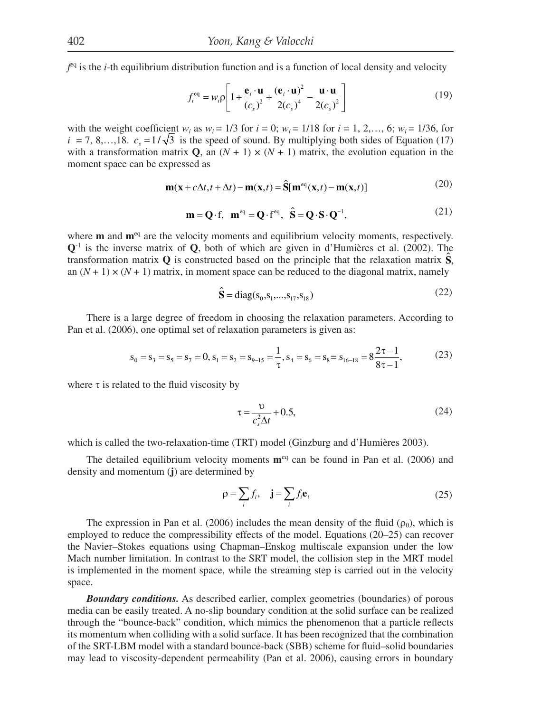$f<sup>eq</sup>$  is the *i*-th equilibrium distribution function and is a function of local density and velocity

$$
f_i^{eq} = w_i \rho \left[ 1 + \frac{\mathbf{e}_i \cdot \mathbf{u}}{(c_s)^2} + \frac{(\mathbf{e}_i \cdot \mathbf{u})^2}{2(c_s)^4} - \frac{\mathbf{u} \cdot \mathbf{u}}{2(c_s)^2} \right]
$$
(19)

with the weight coefficient  $w_i$  as  $w_i = 1/3$  for  $i = 0$ ;  $w_i = 1/18$  for  $i = 1, 2, \ldots, 6$ ;  $w_i = 1/36$ , for  $i = 7, 8,...,18$ .  $c_s = 1/\sqrt{3}$  is the speed of sound. By multiplying both sides of Equation (17) with a transformation matrix **Q**, an  $(N + 1) \times (N + 1)$  matrix, the evolution equation in the moment space can be expressed as

$$
\mathbf{m}(\mathbf{x} + c\Delta t, t + \Delta t) - \mathbf{m}(\mathbf{x}, t) = \hat{\mathbf{S}}[\mathbf{m}^{\text{eq}}(\mathbf{x}, t) - \mathbf{m}(\mathbf{x}, t)]
$$
(20)

$$
\mathbf{m} = \mathbf{Q} \cdot \mathbf{f}, \quad \mathbf{m}^{\text{eq}} = \mathbf{Q} \cdot \mathbf{f}^{\text{eq}}, \quad \hat{\mathbf{S}} = \mathbf{Q} \cdot \mathbf{S} \cdot \mathbf{Q}^{-1}, \tag{21}
$$

where **m** and **m**<sup>eq</sup> are the velocity moments and equilibrium velocity moments, respectively. **Q**-1 is the inverse matrix of **Q**, both of which are given in d'Humières et al. (2002). The transformation matrix  $Q$  is constructed based on the principle that the relaxation matrix  $\hat{S}$ , an  $(N + 1) \times (N + 1)$  matrix, in moment space can be reduced to the diagonal matrix, namely

$$
\hat{\mathbf{S}} = \text{diag}(s_0, s_1, \dots, s_{17}, s_{18})
$$
\n(22)

There is a large degree of freedom in choosing the relaxation parameters. According to Pan et al. (2006), one optimal set of relaxation parameters is given as:

$$
s_0 = s_3 = s_5 = s_7 = 0, s_1 = s_2 = s_{9-15} = \frac{1}{\tau}, s_4 = s_6 = s_8 = s_{16-18} = 8\frac{2\tau - 1}{8\tau - 1},
$$
(23)

where  $\tau$  is related to the fluid viscosity by

$$
\tau = \frac{\upsilon}{c_s^2 \Delta t} + 0.5,\tag{24}
$$

which is called the two-relaxation-time (TRT) model (Ginzburg and d'Humières 2003).

The detailed equilibrium velocity moments  $\mathbf{m}^{\text{eq}}$  can be found in Pan et al. (2006) and density and momentum (**j**) are determined by

$$
\rho = \sum_{i} f_i, \quad \mathbf{j} = \sum_{i} f_i \mathbf{e}_i \tag{25}
$$

The expression in Pan et al. (2006) includes the mean density of the fluid  $(\rho_0)$ , which is employed to reduce the compressibility effects of the model. Equations (20–25) can recover the Navier–Stokes equations using Chapman–Enskog multiscale expansion under the low Mach number limitation. In contrast to the SRT model, the collision step in the MRT model is implemented in the moment space, while the streaming step is carried out in the velocity space.

 *Boundary conditions.* As described earlier, complex geometries (boundaries) of porous media can be easily treated. A no-slip boundary condition at the solid surface can be realized through the "bounce-back" condition, which mimics the phenomenon that a particle reflects its momentum when colliding with a solid surface. It has been recognized that the combination of the SRT-LBM model with a standard bounce-back (SBB) scheme for fluid–solid boundaries may lead to viscosity-dependent permeability (Pan et al. 2006), causing errors in boundary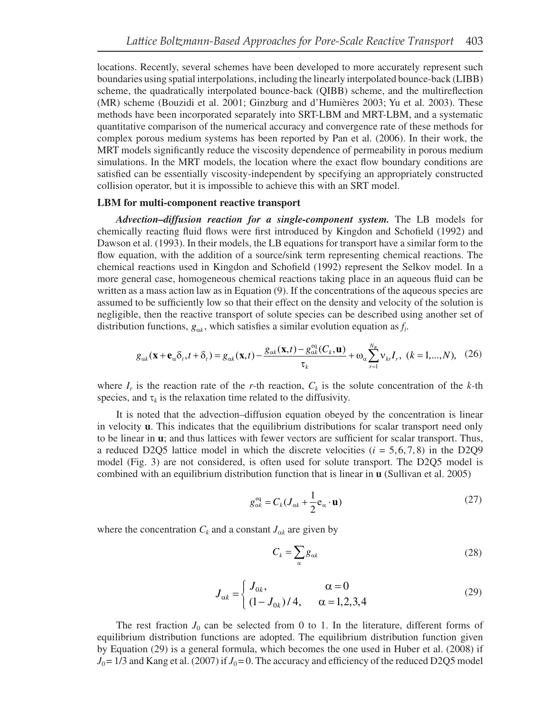locations. Recently, several schemes have been developed to more accurately represent such boundaries using spatial interpolations, including the linearly interpolated bounce-back (LIBB) scheme, the quadratically interpolated bounce-back (QIBB) scheme, and the multireflection (MR) scheme (Bouzidi et al. 2001; Ginzburg and d'Humières 2003; Yu et al. 2003). These methods have been incorporated separately into SRT-LBM and MRT-LBM, and a systematic quantitative comparison of the numerical accuracy and convergence rate of these methods for complex porous medium systems has been reported by Pan et al. (2006). In their work, the MRT models significantly reduce the viscosity dependence of permeability in porous medium simulations. In the MRT models, the location where the exact flow boundary conditions are satisfied can be essentially viscosity-independent by specifying an appropriately constructed collision operator, but it is impossible to achieve this with an SRT model.

#### **LBM for multi-component reactive transport**

 *Advection–diffusion reaction for a single-component system.* The LB models for chemically reacting fluid flows were first introduced by Kingdon and Schofield (1992) and Dawson et al. (1993). In their models, the LB equations for transport have a similar form to the flow equation, with the addition of a source/sink term representing chemical reactions. The chemical reactions used in Kingdon and Schofield (1992) represent the Selkov model. In a more general case, homogeneous chemical reactions taking place in an aqueous fluid can be written as a mass action law as in Equation (9). If the concentrations of the aqueous species are assumed to be sufficiently low so that their effect on the density and velocity of the solution is negligible, then the reactive transport of solute species can be described using another set of distribution functions,  $g_{\alpha k}$ , which satisfies a similar evolution equation as  $f_i$ .

$$
g_{\alpha k}(\mathbf{x} + \mathbf{e}_{\alpha} \delta_t, t + \delta_t) = g_{\alpha k}(\mathbf{x}, t) - \frac{g_{\alpha k}(\mathbf{x}, t) - g_{\alpha k}^{\text{eq}}(C_k, \mathbf{u})}{\tau_k} + \omega_{\alpha} \sum_{r=1}^{N_R} v_{kr} I_r, \ (k = 1, ..., N), \tag{26}
$$

where  $I_r$  is the reaction rate of the *r*-th reaction,  $C_k$  is the solute concentration of the *k*-th species, and  $\tau_k$  is the relaxation time related to the diffusivity.

It is noted that the advection–diffusion equation obeyed by the concentration is linear in velocity **u**. This indicates that the equilibrium distributions for scalar transport need only to be linear in **u**; and thus lattices with fewer vectors are sufficient for scalar transport. Thus, a reduced D2Q5 lattice model in which the discrete velocities  $(i = 5, 6, 7, 8)$  in the D2Q9 model (Fig. 3) are not considered, is often used for solute transport. The D2Q5 model is combined with an equilibrium distribution function that is linear in **u** (Sullivan et al. 2005)

$$
g_{\alpha k}^{\text{eq}} = C_k (J_{\alpha k} + \frac{1}{2} \mathbf{e}_{\alpha} \cdot \mathbf{u})
$$
 (27)

where the concentration  $C_k$  and a constant  $J_{\alpha k}$  are given by

$$
C_k = \sum_{\alpha} g_{\alpha k} \tag{28}
$$

$$
J_{\alpha k} = \begin{cases} J_{0k}, & \alpha = 0\\ (1 - J_{0k})/4, & \alpha = 1, 2, 3, 4 \end{cases}
$$
 (29)

The rest fraction  $J_0$  can be selected from 0 to 1. In the literature, different forms of equilibrium distribution functions are adopted. The equilibrium distribution function given by Equation (29) is a general formula, which becomes the one used in Huber et al. (2008) if  $J_0 = 1/3$  and Kang et al. (2007) if  $J_0 = 0$ . The accuracy and efficiency of the reduced D2Q5 model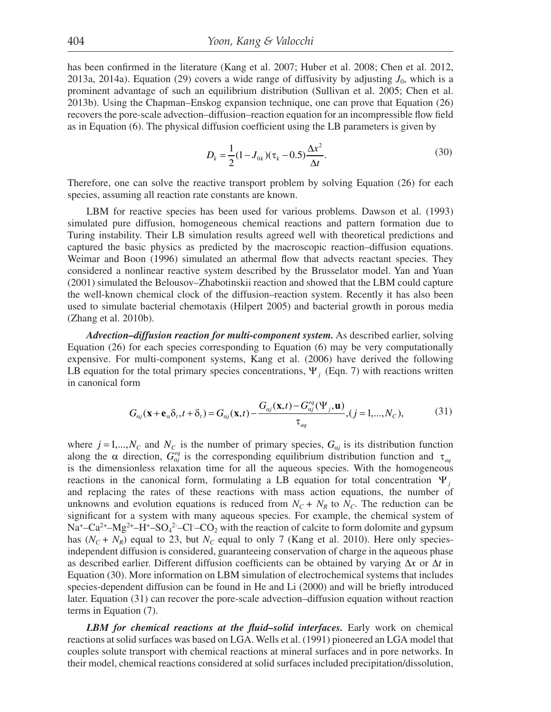has been confirmed in the literature (Kang et al. 2007; Huber et al. 2008; Chen et al. 2012, 2013a, 2014a). Equation (29) covers a wide range of diffusivity by adjusting  $J_0$ , which is a prominent advantage of such an equilibrium distribution (Sullivan et al. 2005; Chen et al. 2013b). Using the Chapman–Enskog expansion technique, one can prove that Equation (26) recovers the pore-scale advection–diffusion–reaction equation for an incompressible flow field as in Equation (6). The physical diffusion coefficient using the LB parameters is given by

$$
D_k = \frac{1}{2}(1 - J_{0k})(\tau_k - 0.5)\frac{\Delta x^2}{\Delta t}.
$$
\n(30)

Therefore, one can solve the reactive transport problem by solving Equation (26) for each species, assuming all reaction rate constants are known.

LBM for reactive species has been used for various problems. Dawson et al. (1993) simulated pure diffusion, homogeneous chemical reactions and pattern formation due to Turing instability. Their LB simulation results agreed well with theoretical predictions and captured the basic physics as predicted by the macroscopic reaction–diffusion equations. Weimar and Boon (1996) simulated an athermal flow that advects reactant species. They considered a nonlinear reactive system described by the Brusselator model. Yan and Yuan (2001) simulated the Belousov–Zhabotinskii reaction and showed that the LBM could capture the well-known chemical clock of the diffusion–reaction system. Recently it has also been used to simulate bacterial chemotaxis (Hilpert 2005) and bacterial growth in porous media (Zhang et al. 2010b).

 *Advection–diffusion reaction for multi-component system.* As described earlier, solving Equation (26) for each species corresponding to Equation (6) may be very computationally expensive. For multi-component systems, Kang et al. (2006) have derived the following LB equation for the total primary species concentrations,  $\Psi_i$  (Eqn. 7) with reactions written in canonical form

$$
G_{\alpha j}(\mathbf{x} + \mathbf{e}_{\alpha} \delta_t, t + \delta_t) = G_{\alpha j}(\mathbf{x}, t) - \frac{G_{\alpha j}(\mathbf{x}, t) - G_{\alpha j}^{eq}(\Psi_j, \mathbf{u})}{\tau_{aq}}, (j = 1, ..., N_C),
$$
(31)

where  $j = 1,..., N_c$  and  $N_c$  is the number of primary species,  $G_{\alpha j}$  is its distribution function along the  $\alpha$  direction,  $G_{\alpha j}^{eq}$  is the corresponding equilibrium distribution function and  $\tau_{qq}$ is the dimensionless relaxation time for all the aqueous species. With the homogeneous reactions in the canonical form, formulating a LB equation for total concentration  $\Psi$ , and replacing the rates of these reactions with mass action equations, the number of unknowns and evolution equations is reduced from  $N_c + N_R$  to  $N_c$ . The reduction can be significant for a system with many aqueous species. For example, the chemical system of  $Na<sup>+</sup>-Ca<sup>2+</sup>-Mg<sup>2+</sup>-H<sup>+</sup>-SO<sub>4</sub><sup>2</sup>-Cl-CO<sub>2</sub> with the reaction of calcite to form dolomite and gypsum$ has  $(N_c + N_R)$  equal to 23, but  $N_c$  equal to only 7 (Kang et al. 2010). Here only speciesindependent diffusion is considered, guaranteeing conservation of charge in the aqueous phase as described earlier. Different diffusion coefficients can be obtained by varying  $\Delta x$  or  $\Delta t$  in Equation (30). More information on LBM simulation of electrochemical systems that includes species-dependent diffusion can be found in He and Li (2000) and will be briefly introduced later. Equation (31) can recover the pore-scale advection–diffusion equation without reaction terms in Equation (7).

*LBM for chemical reactions at the fluid–solid interfaces.* Early work on chemical reactions at solid surfaces was based on LGA. Wells et al. (1991) pioneered an LGA model that couples solute transport with chemical reactions at mineral surfaces and in pore networks. In their model, chemical reactions considered at solid surfaces included precipitation/dissolution,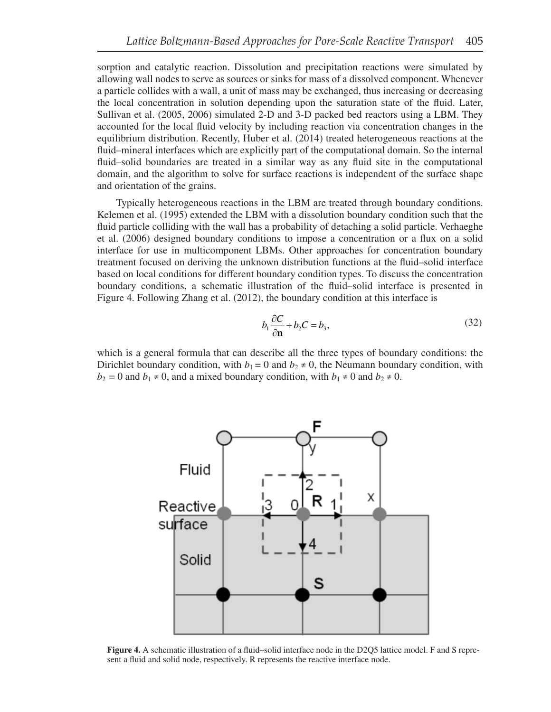sorption and catalytic reaction. Dissolution and precipitation reactions were simulated by allowing wall nodes to serve as sources or sinks for mass of a dissolved component. Whenever a particle collides with a wall, a unit of mass may be exchanged, thus increasing or decreasing the local concentration in solution depending upon the saturation state of the fluid. Later, Sullivan et al. (2005, 2006) simulated 2-D and 3-D packed bed reactors using a LBM. They accounted for the local fluid velocity by including reaction via concentration changes in the equilibrium distribution. Recently, Huber et al. (2014) treated heterogeneous reactions at the fluid–mineral interfaces which are explicitly part of the computational domain. So the internal fluid–solid boundaries are treated in a similar way as any fluid site in the computational domain, and the algorithm to solve for surface reactions is independent of the surface shape and orientation of the grains.

Typically heterogeneous reactions in the LBM are treated through boundary conditions. Kelemen et al. (1995) extended the LBM with a dissolution boundary condition such that the fluid particle colliding with the wall has a probability of detaching a solid particle. Verhaeghe et al. (2006) designed boundary conditions to impose a concentration or a flux on a solid interface for use in multicomponent LBMs. Other approaches for concentration boundary treatment focused on deriving the unknown distribution functions at the fluid-solid interface based on local conditions for different boundary condition types. To discuss the concentration boundary conditions, a schematic illustration of the fluid–solid interface is presented in Figure 4. Following Zhang et al. (2012), the boundary condition at this interface is

$$
b_1 \frac{\partial C}{\partial \mathbf{n}} + b_2 C = b_3,\tag{32}
$$

which is a general formula that can describe all the three types of boundary conditions: the Dirichlet boundary condition, with  $b_1 = 0$  and  $b_2 \neq 0$ , the Neumann boundary condition, with  $b_2 = 0$  and  $b_1 \neq 0$ , and a mixed boundary condition, with  $b_1 \neq 0$  and  $b_2 \neq 0$ .



**Figure 4.** A schematic illustration of a fluid–solid interface node in the D2Q5 lattice model. F and S represent a fluid and solid node, respectively. R represents the reactive interface node.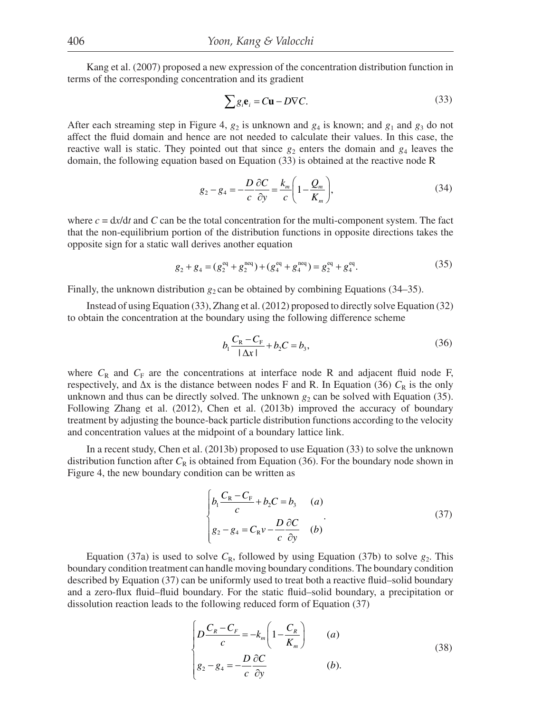Kang et al. (2007) proposed a new expression of the concentration distribution function in terms of the corresponding concentration and its gradient

$$
\sum g_i \mathbf{e}_i = C \mathbf{u} - D \nabla C. \tag{33}
$$

After each streaming step in Figure 4,  $g_2$  is unknown and  $g_4$  is known; and  $g_1$  and  $g_3$  do not affect the fluid domain and hence are not needed to calculate their values. In this case, the reactive wall is static. They pointed out that since  $g_2$  enters the domain and  $g_4$  leaves the domain, the following equation based on Equation (33) is obtained at the reactive node R

$$
g_2 - g_4 = -\frac{D}{c}\frac{\partial C}{\partial y} = \frac{k_m}{c} \left( 1 - \frac{Q_m}{K_m} \right),\tag{34}
$$

where  $c = dx/dt$  and C can be the total concentration for the multi-component system. The fact that the non-equilibrium portion of the distribution functions in opposite directions takes the opposite sign for a static wall derives another equation

$$
g_2 + g_4 = (g_2^{eq} + g_2^{neq}) + (g_4^{eq} + g_4^{neq}) = g_2^{eq} + g_4^{eq}.
$$
 (35)

Finally, the unknown distribution  $g_2$  can be obtained by combining Equations (34–35).

Instead of using Equation (33), Zhang et al. (2012) proposed to directly solve Equation (32) to obtain the concentration at the boundary using the following difference scheme

$$
b_1 \frac{C_{\rm R} - C_{\rm F}}{|\Delta x|} + b_2 C = b_3,
$$
 (36)

where  $C_R$  and  $C_F$  are the concentrations at interface node R and adjacent fluid node F, respectively, and  $\Delta x$  is the distance between nodes F and R. In Equation (36)  $C_R$  is the only unknown and thus can be directly solved. The unknown  $g_2$  can be solved with Equation (35). Following Zhang et al. (2012), Chen et al. (2013b) improved the accuracy of boundary treatment by adjusting the bounce-back particle distribution functions according to the velocity and concentration values at the midpoint of a boundary lattice link.

In a recent study, Chen et al. (2013b) proposed to use Equation (33) to solve the unknown distribution function after  $C_R$  is obtained from Equation (36). For the boundary node shown in Figure 4, the new boundary condition can be written as

$$
\begin{cases}\nb_1 \frac{C_R - C_F}{c} + b_2 C = b_3 & (a) \\
g_2 - g_4 = C_R v - \frac{D}{c} \frac{\partial C}{\partial y} & (b)\n\end{cases}
$$
\n(37)

Equation (37a) is used to solve  $C_R$ , followed by using Equation (37b) to solve  $g_2$ . This boundary condition treatment can handle moving boundary conditions. The boundary condition described by Equation (37) can be uniformly used to treat both a reactive fluid–solid boundary and a zero-flux fluid–fluid boundary. For the static fluid–solid boundary, a precipitation or dissolution reaction leads to the following reduced form of Equation (37)

$$
\begin{cases}\nD\frac{C_R - C_F}{c} = -k_m \left(1 - \frac{C_R}{K_m}\right) & (a) \\
g_2 - g_4 = -\frac{D}{c}\frac{\partial C}{\partial y} & (b).\n\end{cases}
$$
\n(38)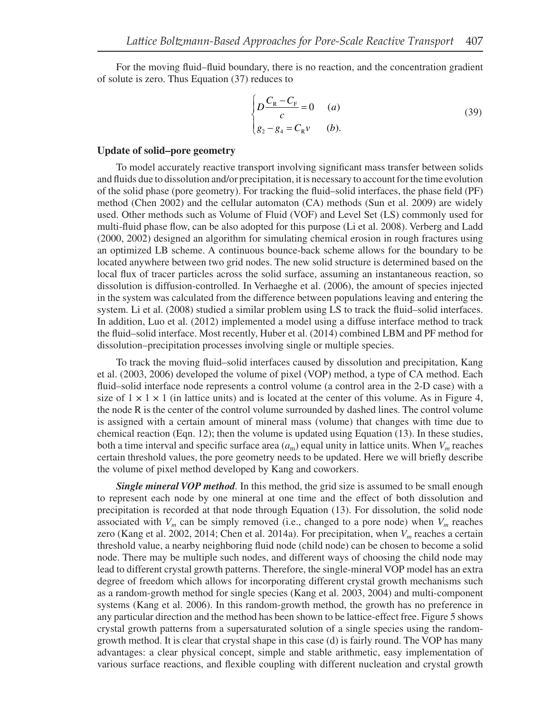For the moving fluid–fluid boundary, there is no reaction, and the concentration gradient of solute is zero. Thus Equation (37) reduces to

$$
\begin{cases}\nD\frac{C_{\rm R} - C_{\rm F}}{c} = 0 & (a) \\
g_2 - g_4 = C_{\rm R}v & (b).\n\end{cases} (39)
$$

#### **Update of solid–pore geometry**

To model accurately reactive transport involving significant mass transfer between solids and fluids due to dissolution and/or precipitation, it is necessary to account for the time evolution of the solid phase (pore geometry). For tracking the fluid–solid interfaces, the phase field (PF) method (Chen 2002) and the cellular automaton (CA) methods (Sun et al. 2009) are widely used. Other methods such as Volume of Fluid (VOF) and Level Set (LS) commonly used for multi-fluid phase flow, can be also adopted for this purpose (Li et al. 2008). Verberg and Ladd (2000, 2002) designed an algorithm for simulating chemical erosion in rough fractures using an optimized LB scheme. A continuous bounce-back scheme allows for the boundary to be located anywhere between two grid nodes. The new solid structure is determined based on the local flux of tracer particles across the solid surface, assuming an instantaneous reaction, so dissolution is diffusion-controlled. In Verhaeghe et al. (2006), the amount of species injected in the system was calculated from the difference between populations leaving and entering the system. Li et al. (2008) studied a similar problem using LS to track the fluid–solid interfaces. In addition, Luo et al. (2012) implemented a model using a diffuse interface method to track the fluid–solid interface. Most recently, Huber et al. (2014) combined LBM and PF method for dissolution–precipitation processes involving single or multiple species.

To track the moving fluid–solid interfaces caused by dissolution and precipitation, Kang et al. (2003, 2006) developed the volume of pixel (VOP) method, a type of CA method. Each fluid–solid interface node represents a control volume (a control area in the 2-D case) with a size of  $1 \times 1 \times 1$  (in lattice units) and is located at the center of this volume. As in Figure 4, the node R is the center of the control volume surrounded by dashed lines. The control volume is assigned with a certain amount of mineral mass (volume) that changes with time due to chemical reaction (Eqn. 12); then the volume is updated using Equation (13). In these studies, both a time interval and specific surface area  $(a_m)$  equal unity in lattice units. When  $V_m$  reaches certain threshold values, the pore geometry needs to be updated. Here we will briefly describe the volume of pixel method developed by Kang and coworkers.

 *Single mineral VOP method.* In this method, the grid size is assumed to be small enough to represent each node by one mineral at one time and the effect of both dissolution and precipitation is recorded at that node through Equation (13). For dissolution, the solid node associated with  $V_m$  can be simply removed (i.e., changed to a pore node) when  $V_m$  reaches zero (Kang et al. 2002, 2014; Chen et al. 2014a). For precipitation, when  $V_m$  reaches a certain threshold value, a nearby neighboring fluid node (child node) can be chosen to become a solid node. There may be multiple such nodes, and different ways of choosing the child node may lead to different crystal growth patterns. Therefore, the single-mineral VOP model has an extra degree of freedom which allows for incorporating different crystal growth mechanisms such as a random-growth method for single species (Kang et al. 2003, 2004) and multi-component systems (Kang et al. 2006). In this random-growth method, the growth has no preference in any particular direction and the method has been shown to be lattice-effect free. Figure 5 shows crystal growth patterns from a supersaturated solution of a single species using the randomgrowth method. It is clear that crystal shape in this case (d) is fairly round. The VOP has many advantages: a clear physical concept, simple and stable arithmetic, easy implementation of various surface reactions, and flexible coupling with different nucleation and crystal growth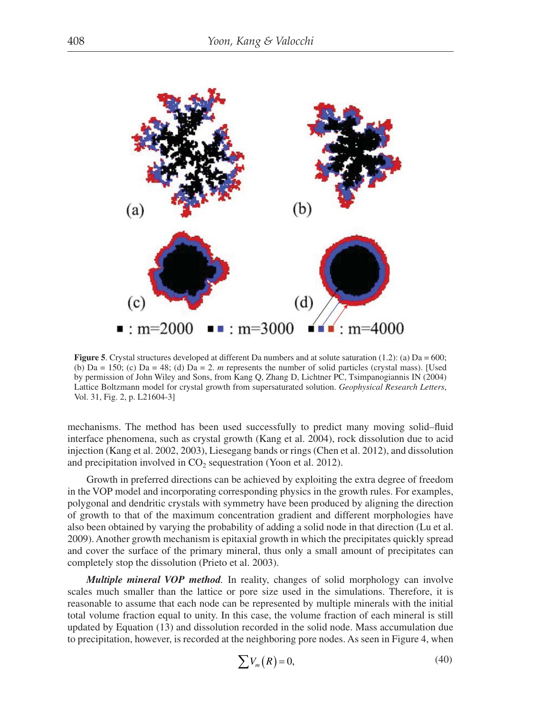

**Figure 5**. Crystal structures developed at different Da numbers and at solute saturation (1.2): (a) Da = 600; (b) Da = 150; (c) Da = 48; (d) Da = 2. *m* represents the number of solid particles (crystal mass). [Used by permission of John Wiley and Sons, from Kang Q, Zhang D, Lichtner PC, Tsimpanogiannis IN (2004) Lattice Boltzmann model for crystal growth from supersaturated solution. *Geophysical Research Letters*, Vol. 31, Fig. 2, p. L21604-3]

mechanisms. The method has been used successfully to predict many moving solid–fluid interface phenomena, such as crystal growth (Kang et al. 2004), rock dissolution due to acid injection (Kang et al. 2002, 2003), Liesegang bands or rings (Chen et al. 2012), and dissolution and precipitation involved in  $CO<sub>2</sub>$  sequestration (Yoon et al. 2012).

Growth in preferred directions can be achieved by exploiting the extra degree of freedom in the VOP model and incorporating corresponding physics in the growth rules. For examples, polygonal and dendritic crystals with symmetry have been produced by aligning the direction of growth to that of the maximum concentration gradient and different morphologies have also been obtained by varying the probability of adding a solid node in that direction (Lu et al. 2009). Another growth mechanism is epitaxial growth in which the precipitates quickly spread and cover the surface of the primary mineral, thus only a small amount of precipitates can completely stop the dissolution (Prieto et al. 2003).

 *Multiple mineral VOP method.* In reality, changes of solid morphology can involve scales much smaller than the lattice or pore size used in the simulations. Therefore, it is reasonable to assume that each node can be represented by multiple minerals with the initial total volume fraction equal to unity. In this case, the volume fraction of each mineral is still updated by Equation (13) and dissolution recorded in the solid node. Mass accumulation due to precipitation, however, is recorded at the neighboring pore nodes. As seen in Figure 4, when

$$
\sum V_m(R) = 0,\t\t(40)
$$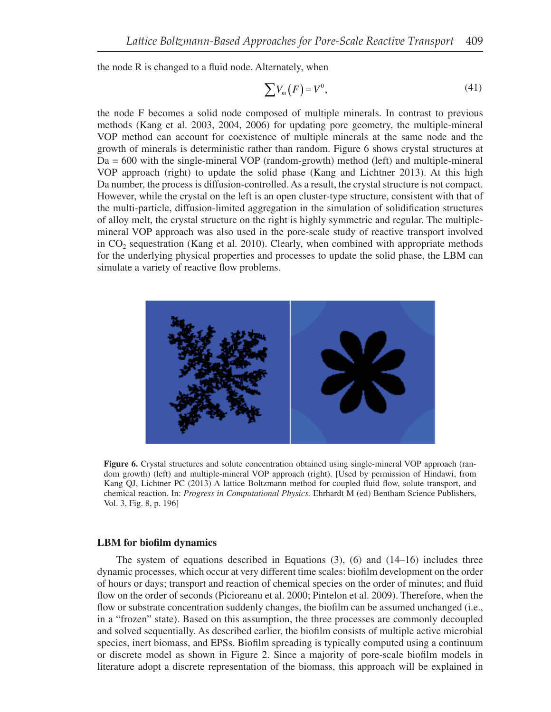the node  $R$  is changed to a fluid node. Alternately, when

$$
\sum V_m(F) = V^0,\tag{41}
$$

the node F becomes a solid node composed of multiple minerals. In contrast to previous methods (Kang et al. 2003, 2004, 2006) for updating pore geometry, the multiple-mineral VOP method can account for coexistence of multiple minerals at the same node and the growth of minerals is deterministic rather than random. Figure 6 shows crystal structures at  $Da = 600$  with the single-mineral VOP (random-growth) method (left) and multiple-mineral VOP approach (right) to update the solid phase (Kang and Lichtner 2013). At this high Da number, the process is diffusion-controlled. As a result, the crystal structure is not compact. However, while the crystal on the left is an open cluster-type structure, consistent with that of the multi-particle, diffusion-limited aggregation in the simulation of solidification structures of alloy melt, the crystal structure on the right is highly symmetric and regular. The multiplemineral VOP approach was also used in the pore-scale study of reactive transport involved in  $CO<sub>2</sub>$  sequestration (Kang et al. 2010). Clearly, when combined with appropriate methods for the underlying physical properties and processes to update the solid phase, the LBM can simulate a variety of reactive flow problems.



**Figure 6.** Crystal structures and solute concentration obtained using single-mineral VOP approach (random growth) (left) and multiple-mineral VOP approach (right). [Used by permission of Hindawi, from Kang QJ, Lichtner PC (2013) A lattice Boltzmann method for coupled fluid flow, solute transport, and chemical reaction. In: *Progress in Computational Physics.* Ehrhardt M (ed) Bentham Science Publishers, Vol. 3, Fig. 8, p. 196]

#### **LBM** for biofilm dynamics

The system of equations described in Equations  $(3)$ ,  $(6)$  and  $(14–16)$  includes three dynamic processes, which occur at very different time scales: biofilm development on the order of hours or days; transport and reaction of chemical species on the order of minutes; and fluid flow on the order of seconds (Picioreanu et al. 2000; Pintelon et al. 2009). Therefore, when the flow or substrate concentration suddenly changes, the biofilm can be assumed unchanged (i.e., in a "frozen" state). Based on this assumption, the three processes are commonly decoupled and solved sequentially. As described earlier, the biofilm consists of multiple active microbial species, inert biomass, and EPSs. Biofilm spreading is typically computed using a continuum or discrete model as shown in Figure 2. Since a majority of pore-scale biofilm models in literature adopt a discrete representation of the biomass, this approach will be explained in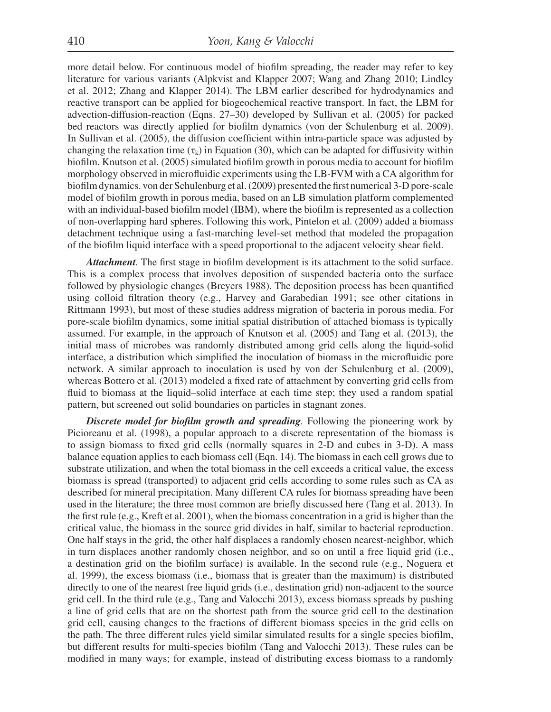more detail below. For continuous model of biofilm spreading, the reader may refer to key literature for various variants (Alpkvist and Klapper 2007; Wang and Zhang 2010; Lindley et al. 2012; Zhang and Klapper 2014). The LBM earlier described for hydrodynamics and reactive transport can be applied for biogeochemical reactive transport. In fact, the LBM for advection-diffusion-reaction (Eqns. 27–30) developed by Sullivan et al. (2005) for packed bed reactors was directly applied for biofilm dynamics (von der Schulenburg et al. 2009). In Sullivan et al. (2005), the diffusion coefficient within intra-particle space was adjusted by changing the relaxation time  $(\tau_k)$  in Equation (30), which can be adapted for diffusivity within biofilm. Knutson et al. (2005) simulated biofilm growth in porous media to account for biofilm morphology observed in microfluidic experiments using the LB-FVM with a CA algorithm for biofilm dynamics. von der Schulenburg et al. (2009) presented the first numerical 3-D pore-scale model of biofilm growth in porous media, based on an LB simulation platform complemented with an individual-based biofilm model (IBM), where the biofilm is represented as a collection of non-overlapping hard spheres. Following this work, Pintelon et al. (2009) added a biomass detachment technique using a fast-marching level-set method that modeled the propagation of the biofilm liquid interface with a speed proportional to the adjacent velocity shear field.

Attachment. The first stage in biofilm development is its attachment to the solid surface. This is a complex process that involves deposition of suspended bacteria onto the surface followed by physiologic changes (Breyers 1988). The deposition process has been quantified using colloid filtration theory (e.g., Harvey and Garabedian 1991; see other citations in Rittmann 1993), but most of these studies address migration of bacteria in porous media. For pore-scale biofilm dynamics, some initial spatial distribution of attached biomass is typically assumed. For example, in the approach of Knutson et al. (2005) and Tang et al. (2013), the initial mass of microbes was randomly distributed among grid cells along the liquid-solid interface, a distribution which simplified the inoculation of biomass in the microfluidic pore network. A similar approach to inoculation is used by von der Schulenburg et al. (2009), whereas Bottero et al. (2013) modeled a fixed rate of attachment by converting grid cells from fluid to biomass at the liquid–solid interface at each time step; they used a random spatial pattern, but screened out solid boundaries on particles in stagnant zones.

*Discrete model for biofilm growth and spreading*. Following the pioneering work by Picioreanu et al. (1998), a popular approach to a discrete representation of the biomass is to assign biomass to fixed grid cells (normally squares in 2-D and cubes in 3-D). A mass balance equation applies to each biomass cell (Eqn. 14). The biomass in each cell grows due to substrate utilization, and when the total biomass in the cell exceeds a critical value, the excess biomass is spread (transported) to adjacent grid cells according to some rules such as CA as described for mineral precipitation. Many different CA rules for biomass spreading have been used in the literature; the three most common are briefly discussed here (Tang et al. 2013). In the first rule (e.g., Kreft et al. 2001), when the biomass concentration in a grid is higher than the critical value, the biomass in the source grid divides in half, similar to bacterial reproduction. One half stays in the grid, the other half displaces a randomly chosen nearest-neighbor, which in turn displaces another randomly chosen neighbor, and so on until a free liquid grid (i.e., a destination grid on the biofilm surface) is available. In the second rule (e.g., Noguera et al. 1999), the excess biomass (i.e., biomass that is greater than the maximum) is distributed directly to one of the nearest free liquid grids (i.e., destination grid) non-adjacent to the source grid cell. In the third rule (e.g., Tang and Valocchi 2013), excess biomass spreads by pushing a line of grid cells that are on the shortest path from the source grid cell to the destination grid cell, causing changes to the fractions of different biomass species in the grid cells on the path. The three different rules yield similar simulated results for a single species biofilm, but different results for multi-species biofilm (Tang and Valocchi 2013). These rules can be modified in many ways; for example, instead of distributing excess biomass to a randomly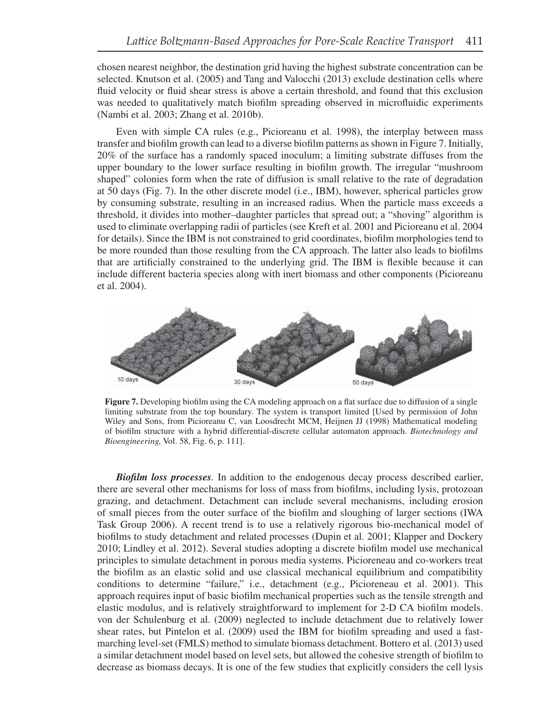chosen nearest neighbor, the destination grid having the highest substrate concentration can be selected. Knutson et al. (2005) and Tang and Valocchi (2013) exclude destination cells where fluid velocity or fluid shear stress is above a certain threshold, and found that this exclusion was needed to qualitatively match biofilm spreading observed in microfluidic experiments (Nambi et al. 2003; Zhang et al. 2010b).

Even with simple CA rules (e.g., Picioreanu et al. 1998), the interplay between mass transfer and biofilm growth can lead to a diverse biofilm patterns as shown in Figure 7. Initially, 20% of the surface has a randomly spaced inoculum; a limiting substrate diffuses from the upper boundary to the lower surface resulting in biofilm growth. The irregular "mushroom" shaped" colonies form when the rate of diffusion is small relative to the rate of degradation at 50 days (Fig. 7). In the other discrete model (i.e., IBM), however, spherical particles grow by consuming substrate, resulting in an increased radius. When the particle mass exceeds a threshold, it divides into mother–daughter particles that spread out; a "shoving" algorithm is used to eliminate overlapping radii of particles (see Kreft et al. 2001 and Picioreanu et al. 2004 for details). Since the IBM is not constrained to grid coordinates, biofilm morphologies tend to be more rounded than those resulting from the CA approach. The latter also leads to biofilms that are artificially constrained to the underlying grid. The IBM is flexible because it can include different bacteria species along with inert biomass and other components (Picioreanu et al. 2004).



**Figure 7.** Developing biofilm using the CA modeling approach on a flat surface due to diffusion of a single limiting substrate from the top boundary. The system is transport limited [Used by permission of John Wiley and Sons, from Picioreanu C, van Loosdrecht MCM, Heijnen JJ (1998) Mathematical modeling of biofilm structure with a hybrid differential-discrete cellular automaton approach. *Biotechnology and Bioengineering,* Vol. 58, Fig. 6, p. 111].

*Biofilm loss processes*. In addition to the endogenous decay process described earlier, there are several other mechanisms for loss of mass from biofilms, including lysis, protozoan grazing, and detachment. Detachment can include several mechanisms, including erosion of small pieces from the outer surface of the biofilm and sloughing of larger sections (IWA) Task Group 2006). A recent trend is to use a relatively rigorous bio-mechanical model of biofilms to study detachment and related processes (Dupin et al. 2001; Klapper and Dockery 2010; Lindley et al. 2012). Several studies adopting a discrete biofilm model use mechanical principles to simulate detachment in porous media systems. Picioreneau and co-workers treat the biofilm as an elastic solid and use classical mechanical equilibrium and compatibility conditions to determine "failure," i.e., detachment (e.g., Picioreneau et al. 2001). This approach requires input of basic biofilm mechanical properties such as the tensile strength and elastic modulus, and is relatively straightforward to implement for 2-D CA biofilm models. von der Schulenburg et al. (2009) neglected to include detachment due to relatively lower shear rates, but Pintelon et al. (2009) used the IBM for biofilm spreading and used a fastmarching level-set (FMLS) method to simulate biomass detachment. Bottero et al. (2013) used a similar detachment model based on level sets, but allowed the cohesive strength of biofilm to decrease as biomass decays. It is one of the few studies that explicitly considers the cell lysis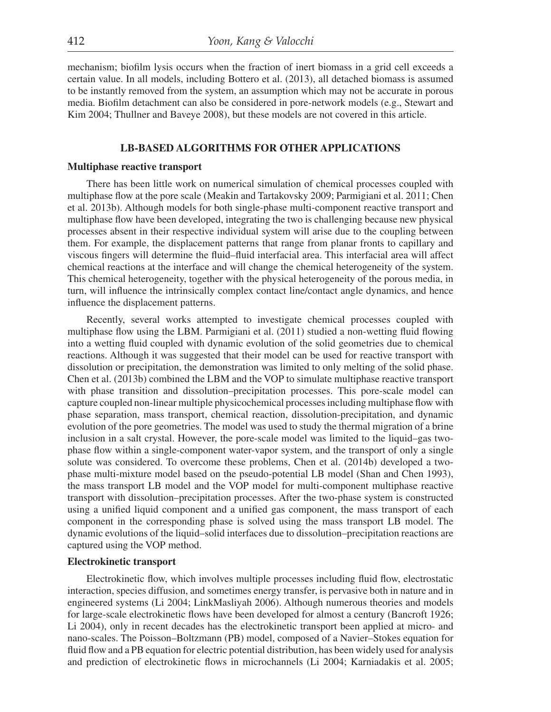mechanism; biofilm lysis occurs when the fraction of inert biomass in a grid cell exceeds a certain value. In all models, including Bottero et al. (2013), all detached biomass is assumed to be instantly removed from the system, an assumption which may not be accurate in porous media. Biofilm detachment can also be considered in pore-network models (e.g., Stewart and Kim 2004; Thullner and Baveye 2008), but these models are not covered in this article.

# **LB-BASED ALGORITHMS FOR OTHER APPLICATIONS**

#### **Multiphase reactive transport**

There has been little work on numerical simulation of chemical processes coupled with multiphase flow at the pore scale (Meakin and Tartakovsky 2009; Parmigiani et al. 2011; Chen et al. 2013b). Although models for both single-phase multi-component reactive transport and multiphase flow have been developed, integrating the two is challenging because new physical processes absent in their respective individual system will arise due to the coupling between them. For example, the displacement patterns that range from planar fronts to capillary and viscous fingers will determine the fluid–fluid interfacial area. This interfacial area will affect chemical reactions at the interface and will change the chemical heterogeneity of the system. This chemical heterogeneity, together with the physical heterogeneity of the porous media, in turn, will influence the intrinsically complex contact line/contact angle dynamics, and hence influence the displacement patterns.

Recently, several works attempted to investigate chemical processes coupled with multiphase flow using the LBM. Parmigiani et al.  $(2011)$  studied a non-wetting fluid flowing into a wetting fluid coupled with dynamic evolution of the solid geometries due to chemical reactions. Although it was suggested that their model can be used for reactive transport with dissolution or precipitation, the demonstration was limited to only melting of the solid phase. Chen et al. (2013b) combined the LBM and the VOP to simulate multiphase reactive transport with phase transition and dissolution–precipitation processes. This pore-scale model can capture coupled non-linear multiple physicochemical processes including multiphase flow with phase separation, mass transport, chemical reaction, dissolution-precipitation, and dynamic evolution of the pore geometries. The model was used to study the thermal migration of a brine inclusion in a salt crystal. However, the pore-scale model was limited to the liquid–gas twophase flow within a single-component water-vapor system, and the transport of only a single solute was considered. To overcome these problems, Chen et al. (2014b) developed a twophase multi-mixture model based on the pseudo-potential LB model (Shan and Chen 1993), the mass transport LB model and the VOP model for multi-component multiphase reactive transport with dissolution–precipitation processes. After the two-phase system is constructed using a unified liquid component and a unified gas component, the mass transport of each component in the corresponding phase is solved using the mass transport LB model. The dynamic evolutions of the liquid–solid interfaces due to dissolution–precipitation reactions are captured using the VOP method.

#### **Electrokinetic transport**

Electrokinetic flow, which involves multiple processes including fluid flow, electrostatic interaction, species diffusion, and sometimes energy transfer, is pervasive both in nature and in engineered systems (Li 2004; LinkMasliyah 2006). Although numerous theories and models for large-scale electrokinetic flows have been developed for almost a century (Bancroft 1926; Li 2004), only in recent decades has the electrokinetic transport been applied at micro- and nano-scales. The Poisson–Boltzmann (PB) model, composed of a Navier–Stokes equation for fluid flow and a PB equation for electric potential distribution, has been widely used for analysis and prediction of electrokinetic flows in microchannels (Li 2004; Karniadakis et al. 2005;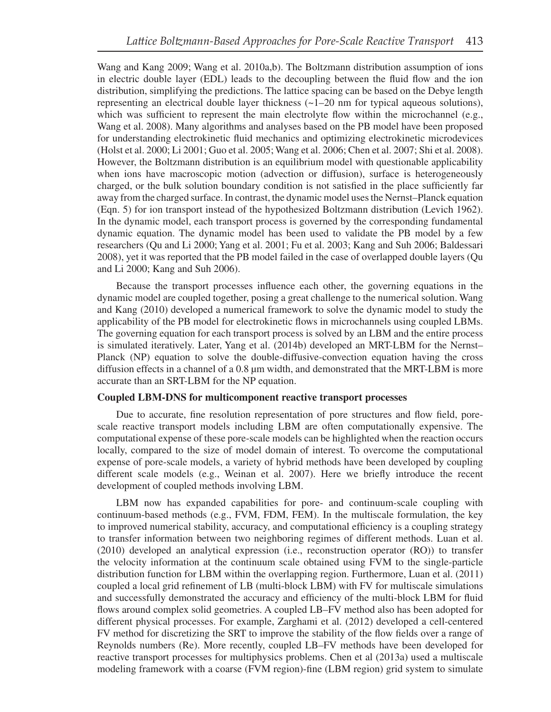Wang and Kang 2009; Wang et al. 2010a,b). The Boltzmann distribution assumption of ions in electric double layer (EDL) leads to the decoupling between the fluid flow and the ion distribution, simplifying the predictions. The lattice spacing can be based on the Debye length representing an electrical double layer thickness  $(-1-20 \text{ nm})$  for typical aqueous solutions), which was sufficient to represent the main electrolyte flow within the microchannel (e.g., Wang et al. 2008). Many algorithms and analyses based on the PB model have been proposed for understanding electrokinetic fluid mechanics and optimizing electrokinetic microdevices (Holst et al. 2000; Li 2001; Guo et al. 2005; Wang et al. 2006; Chen et al. 2007; Shi et al. 2008). However, the Boltzmann distribution is an equilibrium model with questionable applicability when ions have macroscopic motion (advection or diffusion), surface is heterogeneously charged, or the bulk solution boundary condition is not satisfied in the place sufficiently far away from the charged surface. In contrast, the dynamic model uses the Nernst–Planck equation (Eqn. 5) for ion transport instead of the hypothesized Boltzmann distribution (Levich 1962). In the dynamic model, each transport process is governed by the corresponding fundamental dynamic equation. The dynamic model has been used to validate the PB model by a few researchers (Qu and Li 2000; Yang et al. 2001; Fu et al. 2003; Kang and Suh 2006; Baldessari 2008), yet it was reported that the PB model failed in the case of overlapped double layers (Qu and Li 2000; Kang and Suh 2006).

Because the transport processes influence each other, the governing equations in the dynamic model are coupled together, posing a great challenge to the numerical solution. Wang and Kang (2010) developed a numerical framework to solve the dynamic model to study the applicability of the PB model for electrokinetic flows in microchannels using coupled LBMs. The governing equation for each transport process is solved by an LBM and the entire process is simulated iteratively. Later, Yang et al. (2014b) developed an MRT-LBM for the Nernst– Planck (NP) equation to solve the double-diffusive-convection equation having the cross diffusion effects in a channel of a 0.8 μm width, and demonstrated that the MRT-LBM is more accurate than an SRT-LBM for the NP equation.

# **Coupled LBM-DNS for multicomponent reactive transport processes**

Due to accurate, fine resolution representation of pore structures and flow field, porescale reactive transport models including LBM are often computationally expensive. The computational expense of these pore-scale models can be highlighted when the reaction occurs locally, compared to the size of model domain of interest. To overcome the computational expense of pore-scale models, a variety of hybrid methods have been developed by coupling different scale models (e.g., Weinan et al. 2007). Here we briefly introduce the recent development of coupled methods involving LBM.

LBM now has expanded capabilities for pore- and continuum-scale coupling with continuum-based methods (e.g., FVM, FDM, FEM). In the multiscale formulation, the key to improved numerical stability, accuracy, and computational efficiency is a coupling strategy to transfer information between two neighboring regimes of different methods. Luan et al. (2010) developed an analytical expression (i.e., reconstruction operator (RO)) to transfer the velocity information at the continuum scale obtained using FVM to the single-particle distribution function for LBM within the overlapping region. Furthermore, Luan et al. (2011) coupled a local grid refinement of LB (multi-block LBM) with FV for multiscale simulations and successfully demonstrated the accuracy and efficiency of the multi-block LBM for fluid flows around complex solid geometries. A coupled LB–FV method also has been adopted for different physical processes. For example, Zarghami et al. (2012) developed a cell-centered FV method for discretizing the SRT to improve the stability of the flow fields over a range of Reynolds numbers (Re). More recently, coupled LB–FV methods have been developed for reactive transport processes for multiphysics problems. Chen et al (2013a) used a multiscale modeling framework with a coarse (FVM region)-fine (LBM region) grid system to simulate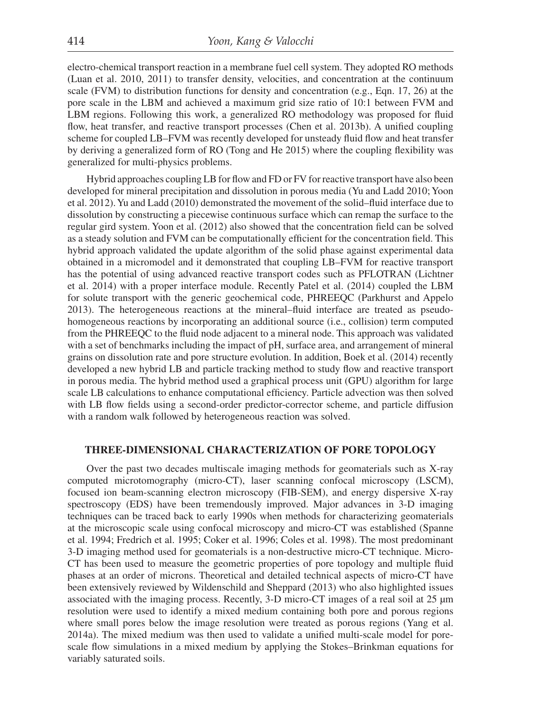electro-chemical transport reaction in a membrane fuel cell system. They adopted RO methods (Luan et al. 2010, 2011) to transfer density, velocities, and concentration at the continuum scale (FVM) to distribution functions for density and concentration (e.g., Eqn. 17, 26) at the pore scale in the LBM and achieved a maximum grid size ratio of 10:1 between FVM and LBM regions. Following this work, a generalized RO methodology was proposed for fluid flow, heat transfer, and reactive transport processes (Chen et al. 2013b). A unified coupling scheme for coupled LB–FVM was recently developed for unsteady fluid flow and heat transfer by deriving a generalized form of RO (Tong and He 2015) where the coupling flexibility was generalized for multi-physics problems.

Hybrid approaches coupling LB for flow and FD or FV for reactive transport have also been developed for mineral precipitation and dissolution in porous media (Yu and Ladd 2010; Yoon et al. 2012). Yu and Ladd (2010) demonstrated the movement of the solid-fluid interface due to dissolution by constructing a piecewise continuous surface which can remap the surface to the regular gird system. Yoon et al. (2012) also showed that the concentration field can be solved as a steady solution and FVM can be computationally efficient for the concentration field. This hybrid approach validated the update algorithm of the solid phase against experimental data obtained in a micromodel and it demonstrated that coupling LB–FVM for reactive transport has the potential of using advanced reactive transport codes such as PFLOTRAN (Lichtner et al. 2014) with a proper interface module. Recently Patel et al. (2014) coupled the LBM for solute transport with the generic geochemical code, PHREEQC (Parkhurst and Appelo 2013). The heterogeneous reactions at the mineral–fluid interface are treated as pseudohomogeneous reactions by incorporating an additional source (i.e., collision) term computed from the PHREEQC to the fluid node adjacent to a mineral node. This approach was validated with a set of benchmarks including the impact of pH, surface area, and arrangement of mineral grains on dissolution rate and pore structure evolution. In addition, Boek et al. (2014) recently developed a new hybrid LB and particle tracking method to study flow and reactive transport in porous media. The hybrid method used a graphical process unit (GPU) algorithm for large scale LB calculations to enhance computational efficiency. Particle advection was then solved with LB flow fields using a second-order predictor-corrector scheme, and particle diffusion with a random walk followed by heterogeneous reaction was solved.

### **THREE-DIMENSIONAL CHARACTERIZATION OF PORE TOPOLOGY**

Over the past two decades multiscale imaging methods for geomaterials such as X-ray computed microtomography (micro-CT), laser scanning confocal microscopy (LSCM), focused ion beam-scanning electron microscopy (FIB-SEM), and energy dispersive X-ray spectroscopy (EDS) have been tremendously improved. Major advances in 3-D imaging techniques can be traced back to early 1990s when methods for characterizing geomaterials at the microscopic scale using confocal microscopy and micro-CT was established (Spanne et al. 1994; Fredrich et al. 1995; Coker et al. 1996; Coles et al. 1998). The most predominant 3-D imaging method used for geomaterials is a non-destructive micro-CT technique. Micro-CT has been used to measure the geometric properties of pore topology and multiple fluid phases at an order of microns. Theoretical and detailed technical aspects of micro-CT have been extensively reviewed by Wildenschild and Sheppard (2013) who also highlighted issues associated with the imaging process. Recently, 3-D micro-CT images of a real soil at 25 μm resolution were used to identify a mixed medium containing both pore and porous regions where small pores below the image resolution were treated as porous regions (Yang et al. 2014a). The mixed medium was then used to validate a unified multi-scale model for porescale flow simulations in a mixed medium by applying the Stokes–Brinkman equations for variably saturated soils.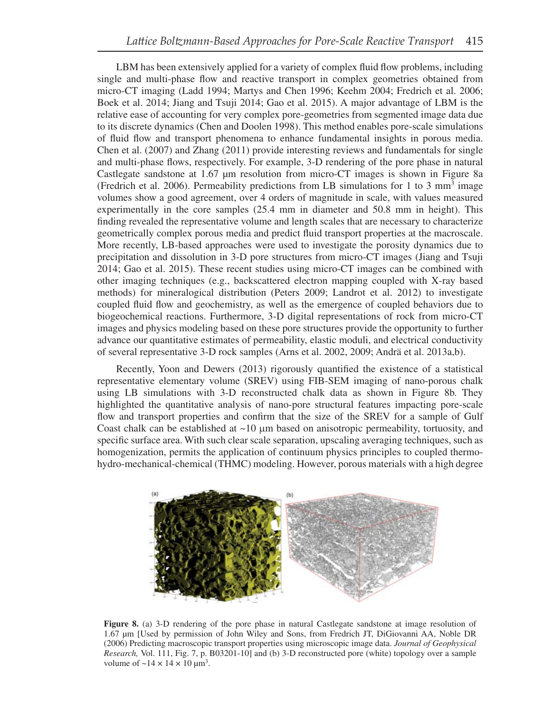LBM has been extensively applied for a variety of complex fluid flow problems, including single and multi-phase flow and reactive transport in complex geometries obtained from micro-CT imaging (Ladd 1994; Martys and Chen 1996; Keehm 2004; Fredrich et al. 2006; Boek et al. 2014; Jiang and Tsuji 2014; Gao et al. 2015). A major advantage of LBM is the relative ease of accounting for very complex pore-geometries from segmented image data due to its discrete dynamics (Chen and Doolen 1998). This method enables pore-scale simulations of fluid flow and transport phenomena to enhance fundamental insights in porous media. Chen et al. (2007) and Zhang (2011) provide interesting reviews and fundamentals for single and multi-phase flows, respectively. For example, 3-D rendering of the pore phase in natural Castlegate sandstone at 1.67 μm resolution from micro-CT images is shown in Figure 8a (Fredrich et al. 2006). Permeability predictions from LB simulations for 1 to 3  $\text{mm}^3$  image volumes show a good agreement, over 4 orders of magnitude in scale, with values measured experimentally in the core samples (25.4 mm in diameter and 50.8 mm in height). This finding revealed the representative volume and length scales that are necessary to characterize geometrically complex porous media and predict fluid transport properties at the macroscale. More recently, LB-based approaches were used to investigate the porosity dynamics due to precipitation and dissolution in 3-D pore structures from micro-CT images (Jiang and Tsuji 2014; Gao et al. 2015). These recent studies using micro-CT images can be combined with other imaging techniques (e.g., backscattered electron mapping coupled with X-ray based methods) for mineralogical distribution (Peters 2009; Landrot et al. 2012) to investigate coupled fluid flow and geochemistry, as well as the emergence of coupled behaviors due to biogeochemical reactions. Furthermore, 3-D digital representations of rock from micro-CT images and physics modeling based on these pore structures provide the opportunity to further advance our quantitative estimates of permeability, elastic moduli, and electrical conductivity of several representative 3-D rock samples (Arns et al. 2002, 2009; Andrä et al. 2013a,b).

Recently, Yoon and Dewers (2013) rigorously quantified the existence of a statistical representative elementary volume (SREV) using FIB-SEM imaging of nano-porous chalk using LB simulations with 3-D reconstructed chalk data as shown in Figure 8b. They highlighted the quantitative analysis of nano-pore structural features impacting pore-scale flow and transport properties and confirm that the size of the SREV for a sample of Gulf Coast chalk can be established at  $\sim 10$  µm based on anisotropic permeability, tortuosity, and specific surface area. With such clear scale separation, upscaling averaging techniques, such as homogenization, permits the application of continuum physics principles to coupled thermohydro-mechanical-chemical (THMC) modeling. However, porous materials with a high degree



**Figure 8.** (a) 3-D rendering of the pore phase in natural Castlegate sandstone at image resolution of 1.67 μm [Used by permission of John Wiley and Sons, from Fredrich JT, DiGiovanni AA, Noble DR (2006) Predicting macroscopic transport properties using microscopic image data. *Journal of Geophysical Research*, Vol. 111, Fig. 7, p. B03201-10] and (b) 3-D reconstructed pore (white) topology over a sample volume of  $\sim$ 14  $\times$  14  $\times$  10  $\mu$ m<sup>3</sup>.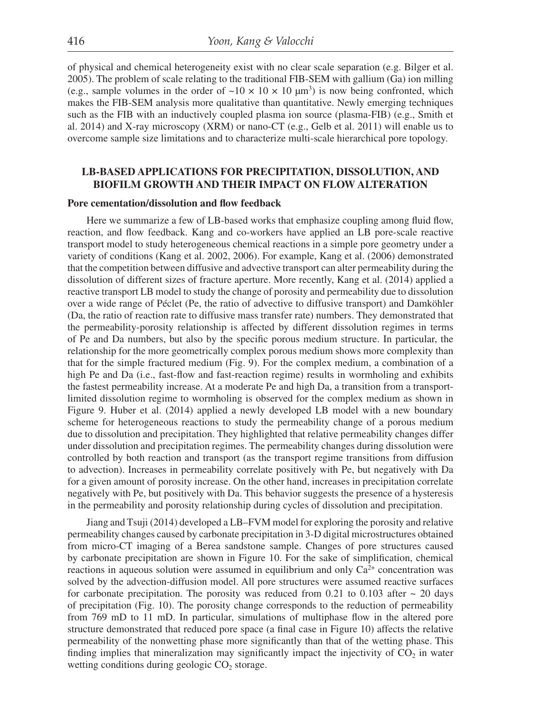of physical and chemical heterogeneity exist with no clear scale separation (e.g. Bilger et al. 2005). The problem of scale relating to the traditional FIB-SEM with gallium (Ga) ion milling (e.g., sample volumes in the order of  $\sim 10 \times 10 \times 10 \mu m^3$ ) is now being confronted, which makes the FIB-SEM analysis more qualitative than quantitative. Newly emerging techniques such as the FIB with an inductively coupled plasma ion source (plasma-FIB) (e.g., Smith et al. 2014) and X-ray microscopy (XRM) or nano-CT (e.g., Gelb et al. 2011) will enable us to overcome sample size limitations and to characterize multi-scale hierarchical pore topology.

# **LB-BASED APPLICATIONS FOR PRECIPITATION, DISSOLUTION, AND BIOFILM GROWTH AND THEIR IMPACT ON FLOW ALTERATION**

#### Pore cementation/dissolution and flow feedback

Here we summarize a few of LB-based works that emphasize coupling among fluid flow, reaction, and flow feedback. Kang and co-workers have applied an LB pore-scale reactive transport model to study heterogeneous chemical reactions in a simple pore geometry under a variety of conditions (Kang et al. 2002, 2006). For example, Kang et al. (2006) demonstrated that the competition between diffusive and advective transport can alter permeability during the dissolution of different sizes of fracture aperture. More recently, Kang et al. (2014) applied a reactive transport LB model to study the change of porosity and permeability due to dissolution over a wide range of Péclet (Pe, the ratio of advective to diffusive transport) and Damköhler (Da, the ratio of reaction rate to diffusive mass transfer rate) numbers. They demonstrated that the permeability-porosity relationship is affected by different dissolution regimes in terms of Pe and Da numbers, but also by the specifi c porous medium structure. In particular, the relationship for the more geometrically complex porous medium shows more complexity than that for the simple fractured medium (Fig. 9). For the complex medium, a combination of a high Pe and Da (i.e., fast-flow and fast-reaction regime) results in wormholing and exhibits the fastest permeability increase. At a moderate Pe and high Da, a transition from a transportlimited dissolution regime to wormholing is observed for the complex medium as shown in Figure 9. Huber et al. (2014) applied a newly developed LB model with a new boundary scheme for heterogeneous reactions to study the permeability change of a porous medium due to dissolution and precipitation. They highlighted that relative permeability changes differ under dissolution and precipitation regimes. The permeability changes during dissolution were controlled by both reaction and transport (as the transport regime transitions from diffusion to advection). Increases in permeability correlate positively with Pe, but negatively with Da for a given amount of porosity increase. On the other hand, increases in precipitation correlate negatively with Pe, but positively with Da. This behavior suggests the presence of a hysteresis in the permeability and porosity relationship during cycles of dissolution and precipitation.

Jiang and Tsuji (2014) developed a LB–FVM model for exploring the porosity and relative permeability changes caused by carbonate precipitation in 3-D digital microstructures obtained from micro-CT imaging of a Berea sandstone sample. Changes of pore structures caused by carbonate precipitation are shown in Figure 10. For the sake of simplification, chemical reactions in aqueous solution were assumed in equilibrium and only  $Ca<sup>2+</sup>$  concentration was solved by the advection-diffusion model. All pore structures were assumed reactive surfaces for carbonate precipitation. The porosity was reduced from  $0.21$  to  $0.103$  after  $\sim 20$  days of precipitation (Fig. 10). The porosity change corresponds to the reduction of permeability from 769 mD to 11 mD. In particular, simulations of multiphase flow in the altered pore structure demonstrated that reduced pore space (a final case in Figure 10) affects the relative permeability of the nonwetting phase more significantly than that of the wetting phase. This finding implies that mineralization may significantly impact the injectivity of  $CO<sub>2</sub>$  in water wetting conditions during geologic  $CO<sub>2</sub>$  storage.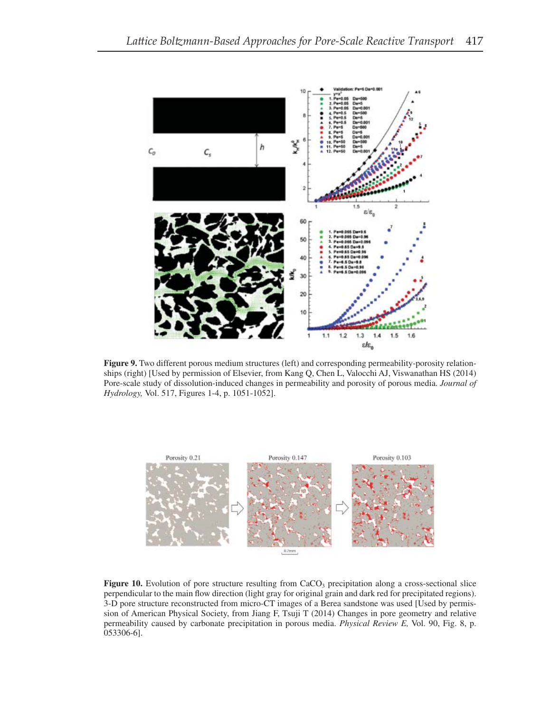

**Figure 9.** Two different porous medium structures (left) and corresponding permeability-porosity relationships (right) [Used by permission of Elsevier, from Kang Q, Chen L, Valocchi AJ, Viswanathan HS (2014) Pore-scale study of dissolution-induced changes in permeability and porosity of porous media. *Journal of Hydrology,* Vol. 517, Figures 1-4, p. 1051-1052].



**Figure 10.** Evolution of pore structure resulting from CaCO<sub>3</sub> precipitation along a cross-sectional slice perpendicular to the main flow direction (light gray for original grain and dark red for precipitated regions). 3-D pore structure reconstructed from micro-CT images of a Berea sandstone was used [Used by permission of American Physical Society, from Jiang F, Tsuji T (2014) Changes in pore geometry and relative permeability caused by carbonate precipitation in porous media. *Physical Review E,* Vol. 90, Fig. 8, p. 053306-6].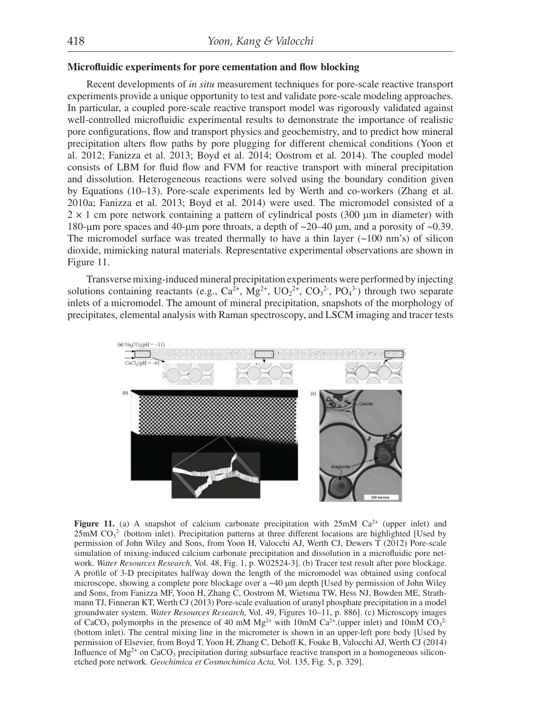### **Microfluidic experiments for pore cementation and flow blocking**

Recent developments of *in situ* measurement techniques for pore-scale reactive transport experiments provide a unique opportunity to test and validate pore-scale modeling approaches. In particular, a coupled pore-scale reactive transport model was rigorously validated against well-controlled microfluidic experimental results to demonstrate the importance of realistic pore configurations, flow and transport physics and geochemistry, and to predict how mineral precipitation alters flow paths by pore plugging for different chemical conditions (Yoon et al. 2012; Fanizza et al. 2013; Boyd et al. 2014; Oostrom et al. 2014). The coupled model consists of LBM for fluid flow and FVM for reactive transport with mineral precipitation and dissolution. Heterogeneous reactions were solved using the boundary condition given by Equations (10–13). Pore-scale experiments led by Werth and co-workers (Zhang et al. 2010a; Fanizza et al. 2013; Boyd et al. 2014) were used. The micromodel consisted of a  $2 \times 1$  cm pore network containing a pattern of cylindrical posts (300  $\mu$ m in diameter) with 180-um pore spaces and 40-um pore throats, a depth of  $\sim$ 20–40  $\mu$ m, and a porosity of  $\sim$ 0.39. The micromodel surface was treated thermally to have a thin layer  $(-100 \text{ nm's})$  of silicon dioxide, mimicking natural materials. Representative experimental observations are shown in Figure 11.

Transverse mixing-induced mineral precipitation experiments were performed by injecting solutions containing reactants (e.g.,  $Ca^{2+}$ ,  $Mg^{2+}$ ,  $UO_2^{2+}$ ,  $CO_3^{2-}$ ,  $PO_4^{3-}$ ) through two separate inlets of a micromodel. The amount of mineral precipitation, snapshots of the morphology of precipitates, elemental analysis with Raman spectroscopy, and LSCM imaging and tracer tests



**Figure 11.** (a) A snapshot of calcium carbonate precipitation with  $25 \text{m}$  Ca<sup>2+</sup> (upper inlet) and  $25 \text{mM CO}_3^2$  (bottom inlet). Precipitation patterns at three different locations are highlighted [Used by permission of John Wiley and Sons, from Yoon H, Valocchi AJ, Werth CJ, Dewers T (2012) Pore-scale simulation of mixing-induced calcium carbonate precipitation and dissolution in a microfluidic pore network. *Water Resources Research,* Vol. 48, Fig. 1, p. W02524-3]. (b) Tracer test result after pore blockage. A profile of 3-D precipitates halfway down the length of the micromodel was obtained using confocal microscope, showing a complete pore blockage over a ~40 μm depth [Used by permission of John Wiley and Sons, from Fanizza MF, Yoon H, Zhang C, Oostrom M, Wietsma TW, Hess NJ, Bowden ME, Strathmann TJ, Finneran KT, Werth CJ (2013) Pore-scale evaluation of uranyl phosphate precipitation in a model groundwater system. *Water Resources Research,* Vol. 49, Figures 10–11, p. 886]. (c) Microscopy images of CaCO<sub>3</sub> polymorphs in the presence of 40 mM  $Mg^{2+}$  with 10mM Ca<sup>2+</sup>.(upper inlet) and 10mM CO<sub>3</sub><sup>2-</sup> (bottom inlet). The central mixing line in the micrometer is shown in an upper-left pore body [Used by permission of Elsevier, from Boyd T, Yoon H, Zhang C, Dehoff K, Fouke B, Valocchi AJ, Werth CJ (2014) Influence of  $Mg^{2+}$  on CaCO<sub>3</sub> precipitation during subsurface reactive transport in a homogeneous siliconetched pore network. *Geochimica et Cosmochimica Acta,* Vol. 135, Fig. 5, p. 329].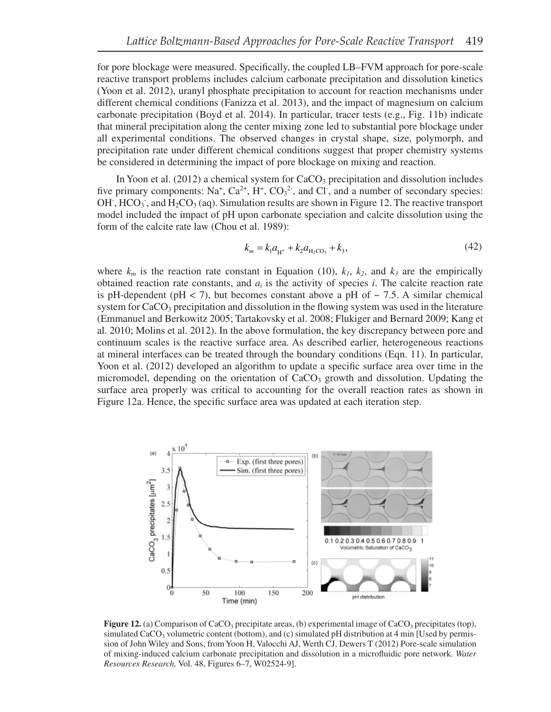for pore blockage were measured. Specifically, the coupled LB–FVM approach for pore-scale reactive transport problems includes calcium carbonate precipitation and dissolution kinetics (Yoon et al. 2012), uranyl phosphate precipitation to account for reaction mechanisms under different chemical conditions (Fanizza et al. 2013), and the impact of magnesium on calcium carbonate precipitation (Boyd et al. 2014). In particular, tracer tests (e.g., Fig. 11b) indicate that mineral precipitation along the center mixing zone led to substantial pore blockage under all experimental conditions. The observed changes in crystal shape, size, polymorph, and precipitation rate under different chemical conditions suggest that proper chemistry systems be considered in determining the impact of pore blockage on mixing and reaction.

In Yoon et al.  $(2012)$  a chemical system for  $CaCO<sub>3</sub>$  precipitation and dissolution includes five primary components:  $Na^+$ ,  $Ca^{2+}$ ,  $H^+$ ,  $CO_3^2$ , and Cl<sup>-</sup>, and a number of secondary species: OH,  $HCO<sub>3</sub>$ , and  $H<sub>2</sub>CO<sub>3</sub>$  (aq). Simulation results are shown in Figure 12. The reactive transport model included the impact of pH upon carbonate speciation and calcite dissolution using the form of the calcite rate law (Chou et al. 1989):

$$
k_m = k_1 a_{H^+} + k_2 a_{H_2CO_3} + k_3,
$$
\n(42)

where  $k_m$  is the reaction rate constant in Equation (10),  $k_1$ ,  $k_2$ , and  $k_3$  are the empirically obtained reaction rate constants, and  $a_i$  is the activity of species *i*. The calcite reaction rate is pH-dependent (pH  $<$  7), but becomes constant above a pH of  $\sim$  7.5. A similar chemical system for  $CaCO<sub>3</sub>$  precipitation and dissolution in the flowing system was used in the literature (Emmanuel and Berkowitz 2005; Tartakovsky et al. 2008; Flukiger and Bernard 2009; Kang et al. 2010; Molins et al. 2012). In the above formulation, the key discrepancy between pore and continuum scales is the reactive surface area. As described earlier, heterogeneous reactions at mineral interfaces can be treated through the boundary conditions (Eqn. 11). In particular, Yoon et al. (2012) developed an algorithm to update a specific surface area over time in the micromodel, depending on the orientation of  $CaCO<sub>3</sub>$  growth and dissolution. Updating the surface area properly was critical to accounting for the overall reaction rates as shown in Figure 12a. Hence, the specific surface area was updated at each iteration step.



**Figure 12.** (a) Comparison of CaCO<sub>3</sub> precipitate areas, (b) experimental image of CaCO<sub>3</sub> precipitates (top), simulated  $CaCO<sub>3</sub>$  volumetric content (bottom), and (c) simulated pH distribution at 4 min [Used by permission of John Wiley and Sons, from Yoon H, Valocchi AJ, Werth CJ, Dewers T (2012) Pore-scale simulation of mixing-induced calcium carbonate precipitation and dissolution in a microfl uidic pore network. *Water Resources Research,* Vol. 48, Figures 6–7, W02524-9].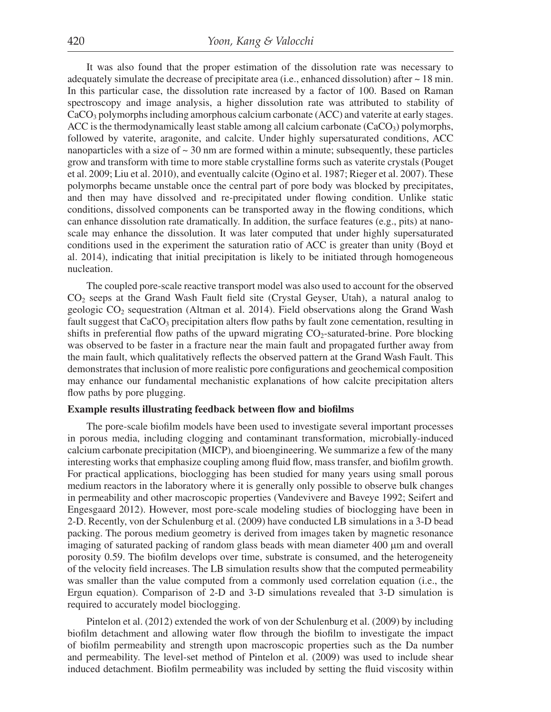It was also found that the proper estimation of the dissolution rate was necessary to adequately simulate the decrease of precipitate area (i.e., enhanced dissolution) after ~ 18 min. In this particular case, the dissolution rate increased by a factor of 100. Based on Raman spectroscopy and image analysis, a higher dissolution rate was attributed to stability of  $CaCO<sub>3</sub>$  polymorphs including amorphous calcium carbonate (ACC) and vaterite at early stages. ACC is the thermodynamically least stable among all calcium carbonate  $(CaCO<sub>3</sub>)$  polymorphs, followed by vaterite, aragonite, and calcite. Under highly supersaturated conditions, ACC nanoparticles with a size of  $\sim$  30 nm are formed within a minute; subsequently, these particles grow and transform with time to more stable crystalline forms such as vaterite crystals (Pouget et al. 2009; Liu et al. 2010), and eventually calcite (Ogino et al. 1987; Rieger et al. 2007). These polymorphs became unstable once the central part of pore body was blocked by precipitates, and then may have dissolved and re-precipitated under flowing condition. Unlike static conditions, dissolved components can be transported away in the flowing conditions, which can enhance dissolution rate dramatically. In addition, the surface features (e.g., pits) at nanoscale may enhance the dissolution. It was later computed that under highly supersaturated conditions used in the experiment the saturation ratio of ACC is greater than unity (Boyd et al. 2014), indicating that initial precipitation is likely to be initiated through homogeneous nucleation.

The coupled pore-scale reactive transport model was also used to account for the observed  $CO<sub>2</sub>$  seeps at the Grand Wash Fault field site (Crystal Geyser, Utah), a natural analog to geologic  $CO<sub>2</sub>$  sequestration (Altman et al. 2014). Field observations along the Grand Wash fault suggest that CaCO<sub>3</sub> precipitation alters flow paths by fault zone cementation, resulting in shifts in preferential flow paths of the upward migrating  $CO<sub>2</sub>$ -saturated-brine. Pore blocking was observed to be faster in a fracture near the main fault and propagated further away from the main fault, which qualitatively reflects the observed pattern at the Grand Wash Fault. This demonstrates that inclusion of more realistic pore configurations and geochemical composition may enhance our fundamental mechanistic explanations of how calcite precipitation alters flow paths by pore plugging.

#### **Example results illustrating feedback between flow and biofilms**

The pore-scale biofilm models have been used to investigate several important processes in porous media, including clogging and contaminant transformation, microbially-induced calcium carbonate precipitation (MICP), and bioengineering. We summarize a few of the many interesting works that emphasize coupling among fluid flow, mass transfer, and biofilm growth. For practical applications, bioclogging has been studied for many years using small porous medium reactors in the laboratory where it is generally only possible to observe bulk changes in permeability and other macroscopic properties (Vandevivere and Baveye 1992; Seifert and Engesgaard 2012). However, most pore-scale modeling studies of bioclogging have been in 2-D. Recently, von der Schulenburg et al. (2009) have conducted LB simulations in a 3-D bead packing. The porous medium geometry is derived from images taken by magnetic resonance imaging of saturated packing of random glass beads with mean diameter  $400 \mu m$  and overall porosity 0.59. The biofilm develops over time, substrate is consumed, and the heterogeneity of the velocity field increases. The LB simulation results show that the computed permeability was smaller than the value computed from a commonly used correlation equation (i.e., the Ergun equation). Comparison of 2-D and 3-D simulations revealed that 3-D simulation is required to accurately model bioclogging.

Pintelon et al. (2012) extended the work of von der Schulenburg et al. (2009) by including biofilm detachment and allowing water flow through the biofilm to investigate the impact of biofilm permeability and strength upon macroscopic properties such as the Da number and permeability. The level-set method of Pintelon et al. (2009) was used to include shear induced detachment. Biofilm permeability was included by setting the fluid viscosity within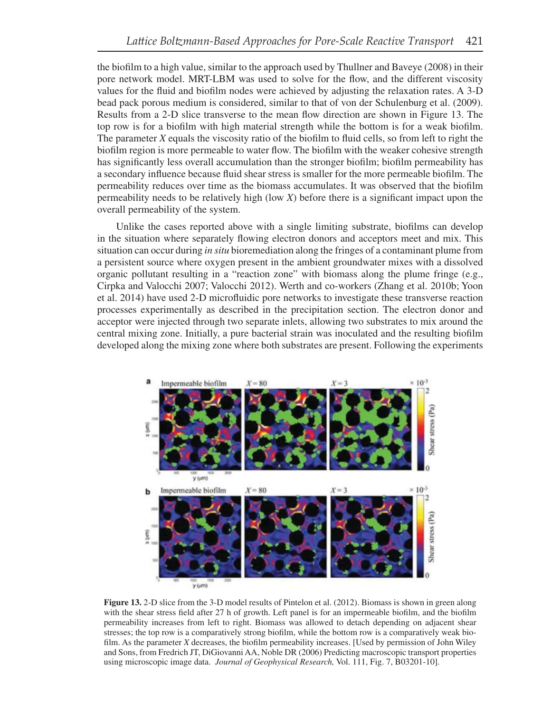the biofilm to a high value, similar to the approach used by Thullner and Baveye (2008) in their pore network model. MRT-LBM was used to solve for the flow, and the different viscosity values for the fluid and biofilm nodes were achieved by adjusting the relaxation rates. A 3-D bead pack porous medium is considered, similar to that of von der Schulenburg et al. (2009). Results from a 2-D slice transverse to the mean flow direction are shown in Figure 13. The top row is for a biofilm with high material strength while the bottom is for a weak biofilm. The parameter  $X$  equals the viscosity ratio of the biofilm to fluid cells, so from left to right the biofilm region is more permeable to water flow. The biofilm with the weaker cohesive strength has significantly less overall accumulation than the stronger biofilm; biofilm permeability has a secondary influence because fluid shear stress is smaller for the more permeable biofilm. The permeability reduces over time as the biomass accumulates. It was observed that the biofilm permeability needs to be relatively high (low  $X$ ) before there is a significant impact upon the overall permeability of the system.

Unlike the cases reported above with a single limiting substrate, biofilms can develop in the situation where separately flowing electron donors and acceptors meet and mix. This situation can occur during *in situ* bioremediation along the fringes of a contaminant plume from a persistent source where oxygen present in the ambient groundwater mixes with a dissolved organic pollutant resulting in a "reaction zone" with biomass along the plume fringe (e.g., Cirpka and Valocchi 2007; Valocchi 2012). Werth and co-workers (Zhang et al. 2010b; Yoon et al. 2014) have used 2-D microfluidic pore networks to investigate these transverse reaction processes experimentally as described in the precipitation section. The electron donor and acceptor were injected through two separate inlets, allowing two substrates to mix around the central mixing zone. Initially, a pure bacterial strain was inoculated and the resulting biofilm developed along the mixing zone where both substrates are present. Following the experiments



**Figure 13.** 2-D slice from the 3-D model results of Pintelon et al. (2012). Biomass is shown in green along with the shear stress field after 27 h of growth. Left panel is for an impermeable biofilm, and the biofilm permeability increases from left to right. Biomass was allowed to detach depending on adjacent shear stresses; the top row is a comparatively strong biofilm, while the bottom row is a comparatively weak biofilm. As the parameter *X* decreases, the biofilm permeability increases. [Used by permission of John Wiley and Sons, from Fredrich JT, DiGiovanni AA, Noble DR (2006) Predicting macroscopic transport properties using microscopic image data. *Journal of Geophysical Research,* Vol. 111, Fig. 7, B03201-10].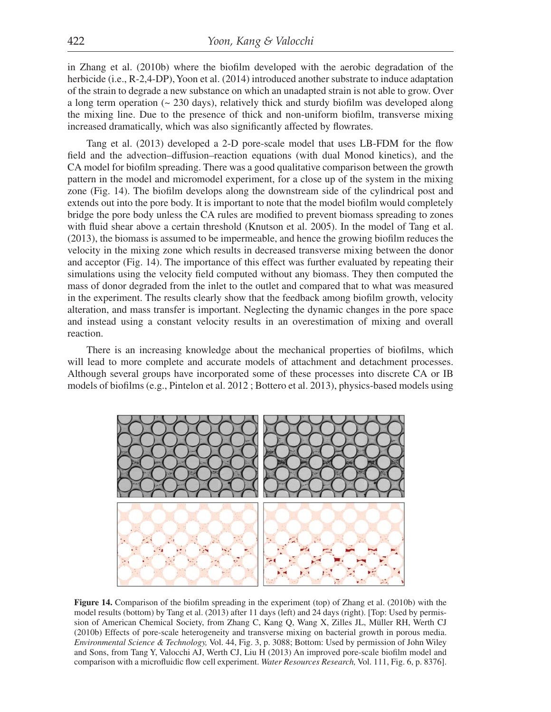in Zhang et al.  $(2010b)$  where the biofilm developed with the aerobic degradation of the herbicide (i.e., R-2,4-DP), Yoon et al. (2014) introduced another substrate to induce adaptation of the strain to degrade a new substance on which an unadapted strain is not able to grow. Over a long term operation  $\left(\sim 230 \text{ days}\right)$ , relatively thick and sturdy biofilm was developed along the mixing line. Due to the presence of thick and non-uniform biofilm, transverse mixing increased dramatically, which was also significantly affected by flowrates.

Tang et al. (2013) developed a 2-D pore-scale model that uses LB-FDM for the flow field and the advection–diffusion–reaction equations (with dual Monod kinetics), and the CA model for biofilm spreading. There was a good qualitative comparison between the growth pattern in the model and micromodel experiment, for a close up of the system in the mixing zone (Fig. 14). The biofilm develops along the downstream side of the cylindrical post and extends out into the pore body. It is important to note that the model biofilm would completely bridge the pore body unless the CA rules are modified to prevent biomass spreading to zones with fluid shear above a certain threshold (Knutson et al. 2005). In the model of Tang et al.  $(2013)$ , the biomass is assumed to be impermeable, and hence the growing biofilm reduces the velocity in the mixing zone which results in decreased transverse mixing between the donor and acceptor (Fig. 14). The importance of this effect was further evaluated by repeating their simulations using the velocity field computed without any biomass. They then computed the mass of donor degraded from the inlet to the outlet and compared that to what was measured in the experiment. The results clearly show that the feedback among biofilm growth, velocity alteration, and mass transfer is important. Neglecting the dynamic changes in the pore space and instead using a constant velocity results in an overestimation of mixing and overall reaction.

There is an increasing knowledge about the mechanical properties of biofilms, which will lead to more complete and accurate models of attachment and detachment processes. Although several groups have incorporated some of these processes into discrete CA or IB models of biofilms (e.g., Pintelon et al. 2012; Bottero et al. 2013), physics-based models using



**Figure 14.** Comparison of the biofilm spreading in the experiment (top) of Zhang et al. (2010b) with the model results (bottom) by Tang et al. (2013) after 11 days (left) and 24 days (right). [Top: Used by permission of American Chemical Society, from Zhang C, Kang Q, Wang X, Zilles JL, Müller RH, Werth CJ (2010b) Effects of pore-scale heterogeneity and transverse mixing on bacterial growth in porous media. *Environmental Science & Technology,* Vol. 44, Fig. 3, p. 3088; Bottom: Used by permission of John Wiley and Sons, from Tang Y, Valocchi AJ, Werth CJ, Liu H (2013) An improved pore-scale biofilm model and comparison with a microfluidic flow cell experiment. *Water Resources Research*, Vol. 111, Fig. 6, p. 8376].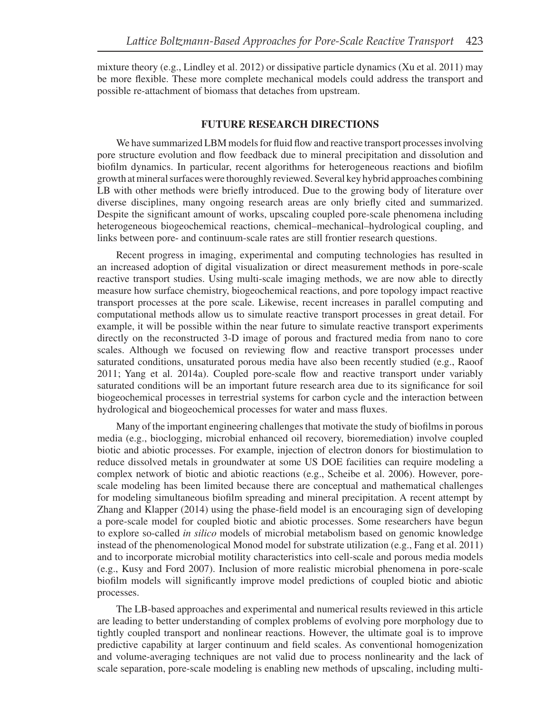mixture theory (e.g., Lindley et al. 2012) or dissipative particle dynamics (Xu et al. 2011) may be more flexible. These more complete mechanical models could address the transport and possible re-attachment of biomass that detaches from upstream.

### **FUTURE RESEARCH DIRECTIONS**

We have summarized LBM models for fluid flow and reactive transport processes involving pore structure evolution and flow feedback due to mineral precipitation and dissolution and biofilm dynamics. In particular, recent algorithms for heterogeneous reactions and biofilm growth at mineral surfaces were thoroughly reviewed. Several key hybrid approaches combining LB with other methods were briefly introduced. Due to the growing body of literature over diverse disciplines, many ongoing research areas are only briefly cited and summarized. Despite the significant amount of works, upscaling coupled pore-scale phenomena including heterogeneous biogeochemical reactions, chemical–mechanical–hydrological coupling, and links between pore- and continuum-scale rates are still frontier research questions.

Recent progress in imaging, experimental and computing technologies has resulted in an increased adoption of digital visualization or direct measurement methods in pore-scale reactive transport studies. Using multi-scale imaging methods, we are now able to directly measure how surface chemistry, biogeochemical reactions, and pore topology impact reactive transport processes at the pore scale. Likewise, recent increases in parallel computing and computational methods allow us to simulate reactive transport processes in great detail. For example, it will be possible within the near future to simulate reactive transport experiments directly on the reconstructed 3-D image of porous and fractured media from nano to core scales. Although we focused on reviewing flow and reactive transport processes under saturated conditions, unsaturated porous media have also been recently studied (e.g., Raoof 2011; Yang et al. 2014a). Coupled pore-scale flow and reactive transport under variably saturated conditions will be an important future research area due to its significance for soil biogeochemical processes in terrestrial systems for carbon cycle and the interaction between hydrological and biogeochemical processes for water and mass fluxes.

Many of the important engineering challenges that motivate the study of biofilms in porous media (e.g., bioclogging, microbial enhanced oil recovery, bioremediation) involve coupled biotic and abiotic processes. For example, injection of electron donors for biostimulation to reduce dissolved metals in groundwater at some US DOE facilities can require modeling a complex network of biotic and abiotic reactions (e.g., Scheibe et al. 2006). However, porescale modeling has been limited because there are conceptual and mathematical challenges for modeling simultaneous biofilm spreading and mineral precipitation. A recent attempt by Zhang and Klapper (2014) using the phase-field model is an encouraging sign of developing a pore-scale model for coupled biotic and abiotic processes. Some researchers have begun to explore so-called *in silico* models of microbial metabolism based on genomic knowledge instead of the phenomenological Monod model for substrate utilization (e.g., Fang et al. 2011) and to incorporate microbial motility characteristics into cell-scale and porous media models (e.g., Kusy and Ford 2007). Inclusion of more realistic microbial phenomena in pore-scale biofilm models will significantly improve model predictions of coupled biotic and abiotic processes.

The LB-based approaches and experimental and numerical results reviewed in this article are leading to better understanding of complex problems of evolving pore morphology due to tightly coupled transport and nonlinear reactions. However, the ultimate goal is to improve predictive capability at larger continuum and field scales. As conventional homogenization and volume-averaging techniques are not valid due to process nonlinearity and the lack of scale separation, pore-scale modeling is enabling new methods of upscaling, including multi-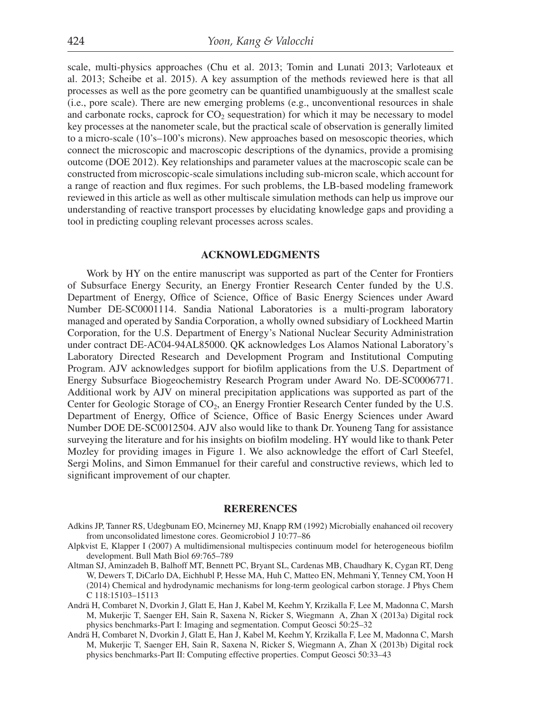scale, multi-physics approaches (Chu et al. 2013; Tomin and Lunati 2013; Varloteaux et al. 2013; Scheibe et al. 2015). A key assumption of the methods reviewed here is that all processes as well as the pore geometry can be quantified unambiguously at the smallest scale (i.e., pore scale). There are new emerging problems (e.g., unconventional resources in shale and carbonate rocks, caprock for  $CO<sub>2</sub>$  sequestration) for which it may be necessary to model key processes at the nanometer scale, but the practical scale of observation is generally limited to a micro-scale (10's–100's microns). New approaches based on mesoscopic theories, which connect the microscopic and macroscopic descriptions of the dynamics, provide a promising outcome (DOE 2012). Key relationships and parameter values at the macroscopic scale can be constructed from microscopic-scale simulations including sub-micron scale, which account for a range of reaction and flux regimes. For such problems, the LB-based modeling framework reviewed in this article as well as other multiscale simulation methods can help us improve our understanding of reactive transport processes by elucidating knowledge gaps and providing a tool in predicting coupling relevant processes across scales.

# **ACKNOWLEDGMENTS**

Work by HY on the entire manuscript was supported as part of the Center for Frontiers of Subsurface Energy Security, an Energy Frontier Research Center funded by the U.S. Department of Energy, Office of Science, Office of Basic Energy Sciences under Award Number DE-SC0001114. Sandia National Laboratories is a multi-program laboratory managed and operated by Sandia Corporation, a wholly owned subsidiary of Lockheed Martin Corporation, for the U.S. Department of Energy's National Nuclear Security Administration under contract DE-AC04-94AL85000. QK acknowledges Los Alamos National Laboratory's Laboratory Directed Research and Development Program and Institutional Computing Program. AJV acknowledges support for biofilm applications from the U.S. Department of Energy Subsurface Biogeochemistry Research Program under Award No. DE-SC0006771. Additional work by AJV on mineral precipitation applications was supported as part of the Center for Geologic Storage of CO<sub>2</sub>, an Energy Frontier Research Center funded by the U.S. Department of Energy, Office of Science, Office of Basic Energy Sciences under Award Number DOE DE-SC0012504. AJV also would like to thank Dr. Youneng Tang for assistance surveying the literature and for his insights on biofilm modeling. HY would like to thank Peter Mozley for providing images in Figure 1. We also acknowledge the effort of Carl Steefel, Sergi Molins, and Simon Emmanuel for their careful and constructive reviews, which led to significant improvement of our chapter.

#### **RERERENCES**

- Adkins JP, Tanner RS, Udegbunam EO, Mcinerney MJ, Knapp RM (1992) Microbially enahanced oil recovery from unconsolidated limestone cores. Geomicrobiol J 10:77–86
- Alpkvist E, Klapper I (2007) A multidimensional multispecies continuum model for heterogeneous biofilm development. Bull Math Biol 69:765–789
- Altman SJ, Aminzadeh B, Balhoff MT, Bennett PC, Bryant SL, Cardenas MB, Chaudhary K, Cygan RT, Deng W, Dewers T, DiCarlo DA, Eichhubl P, Hesse MA, Huh C, Matteo EN, Mehmani Y, Tenney CM, Yoon H (2014) Chemical and hydrodynamic mechanisms for long-term geological carbon storage. J Phys Chem C 118:15103–15113
- Andrä H, Combaret N, Dvorkin J, Glatt E, Han J, Kabel M, Keehm Y, Krzikalla F, Lee M, Madonna C, Marsh M, Mukerjic T, Saenger EH, Sain R, Saxena N, Ricker S, Wiegmann A, Zhan X (2013a) Digital rock physics benchmarks-Part I: Imaging and segmentation. Comput Geosci 50:25–32
- Andrä H, Combaret N, Dvorkin J, Glatt E, Han J, Kabel M, Keehm Y, Krzikalla F, Lee M, Madonna C, Marsh M, Mukerjic T, Saenger EH, Sain R, Saxena N, Ricker S, Wiegmann A, Zhan X (2013b) Digital rock physics benchmarks-Part II: Computing effective properties. Comput Geosci 50:33–43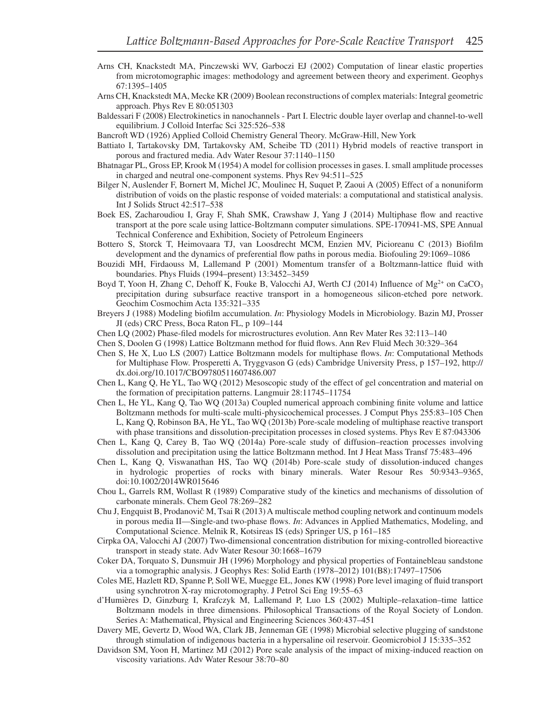- Arns CH, Knackstedt MA, Pinczewski WV, Garboczi EJ (2002) Computation of linear elastic properties from microtomographic images: methodology and agreement between theory and experiment. Geophys 67:1395–1405
- Arns CH, Knackstedt MA, Mecke KR (2009) Boolean reconstructions of complex materials: Integral geometric approach. Phys Rev E 80:051303
- Baldessari F (2008) Electrokinetics in nanochannels Part I. Electric double layer overlap and channel-to-well equilibrium. J Colloid Interfac Sci 325:526–538
- Bancroft WD (1926) Applied Colloid Chemistry General Theory. McGraw-Hill, New York
- Battiato I, Tartakovsky DM, Tartakovsky AM, Scheibe TD (2011) Hybrid models of reactive transport in porous and fractured media. Adv Water Resour 37:1140–1150
- Bhatnagar PL, Gross EP, Krook M (1954) A model for collision processes in gases. I. small amplitude processes in charged and neutral one-component systems. Phys Rev 94:511–525
- Bilger N, Auslender F, Bornert M, Michel JC, Moulinec H, Suquet P, Zaoui A (2005) Effect of a nonuniform distribution of voids on the plastic response of voided materials: a computational and statistical analysis. Int J Solids Struct 42:517–538
- Boek ES, Zacharoudiou I, Gray F, Shah SMK, Crawshaw J, Yang J (2014) Multiphase flow and reactive transport at the pore scale using lattice-Boltzmann computer simulations. SPE-170941-MS, SPE Annual Technical Conference and Exhibition, Society of Petroleum Engineers
- Bottero S, Storck T, Heimovaara TJ, van Loosdrecht MCM, Enzien MV, Picioreanu C (2013) Biofilm development and the dynamics of preferential flow paths in porous media. Biofouling 29:1069–1086
- Bouzidi MH, Firdaouss M, Lallemand P (2001) Momentum transfer of a Boltzmann-lattice fluid with boundaries. Phys Fluids (1994–present) 13:3452–3459
- Boyd T, Yoon H, Zhang C, Dehoff K, Fouke B, Valocchi AJ, Werth CJ (2014) Influence of  $Mg^{2+}$  on CaCO<sub>3</sub> precipitation during subsurface reactive transport in a homogeneous silicon-etched pore network. Geochim Cosmochim Acta 135:321–335
- Breyers J (1988) Modeling biofilm accumulation. *In*: Physiology Models in Microbiology. Bazin MJ, Prosser JI (eds) CRC Press, Boca Raton FL, p 109–144
- Chen LQ (2002) Phase-filed models for microstructures evolution. Ann Rev Mater Res 32:113–140
- Chen S, Doolen G (1998) Lattice Boltzmann method for fluid flows. Ann Rev Fluid Mech 30:329–364
- Chen S, He X, Luo LS (2007) Lattice Boltzmann models for multiphase flows. *In*: Computational Methods for Multiphase Flow. Prosperetti A, Tryggvason G (eds) Cambridge University Press, p 157–192, http:// dx.doi.org/10.1017/CBO9780511607486.007
- Chen L, Kang Q, He YL, Tao WQ (2012) Mesoscopic study of the effect of gel concentration and material on the formation of precipitation patterns. Langmuir 28:11745–11754
- Chen L, He YL, Kang Q, Tao WQ (2013a) Coupled numerical approach combining finite volume and lattice Boltzmann methods for multi-scale multi-physicochemical processes. J Comput Phys 255:83–105 Chen L, Kang Q, Robinson BA, He YL, Tao WQ (2013b) Pore-scale modeling of multiphase reactive transport with phase transitions and dissolution-precipitation processes in closed systems. Phys Rev E 87:043306
- Chen L, Kang Q, Carey B, Tao WQ (2014a) Pore-scale study of diffusion–reaction processes involving dissolution and precipitation using the lattice Boltzmann method. Int J Heat Mass Transf 75:483–496
- Chen L, Kang Q, Viswanathan HS, Tao WQ (2014b) Pore-scale study of dissolution-induced changes in hydrologic properties of rocks with binary minerals. Water Resour Res 50:9343–9365, doi:10.1002/2014WR015646
- Chou L, Garrels RM, Wollast R (1989) Comparative study of the kinetics and mechanisms of dissolution of carbonate minerals. Chem Geol 78:269–282
- Chu J, Engquist B, Prodanoviඹ M, Tsai R (2013) A multiscale method coupling network and continuum models in porous media II—Single-and two-phase flows. *In*: Advances in Applied Mathematics, Modeling, and Computational Science. Melnik R, Kotsireas IS (eds) Springer US, p 161–185
- Cirpka OA, Valocchi AJ (2007) Two-dimensional concentration distribution for mixing-controlled bioreactive transport in steady state. Adv Water Resour 30:1668–1679
- Coker DA, Torquato S, Dunsmuir JH (1996) Morphology and physical properties of Fontainebleau sandstone via a tomographic analysis. J Geophys Res: Solid Earth (1978–2012) 101(B8):17497–17506
- Coles ME, Hazlett RD, Spanne P, Soll WE, Muegge EL, Jones KW (1998) Pore level imaging of fluid transport using synchrotron X-ray microtomography. J Petrol Sci Eng 19:55–63
- d'Humières D, Ginzburg I, Krafczyk M, Lallemand P, Luo LS (2002) Multiple–relaxation–time lattice Boltzmann models in three dimensions. Philosophical Transactions of the Royal Society of London. Series A: Mathematical, Physical and Engineering Sciences 360:437–451
- Davery ME, Gevertz D, Wood WA, Clark JB, Jenneman GE (1998) Microbial selective plugging of sandstone through stimulation of indigenous bacteria in a hypersaline oil reservoir. Geomicrobiol J 15:335–352
- Davidson SM, Yoon H, Martinez MJ (2012) Pore scale analysis of the impact of mixing-induced reaction on viscosity variations. Adv Water Resour 38:70–80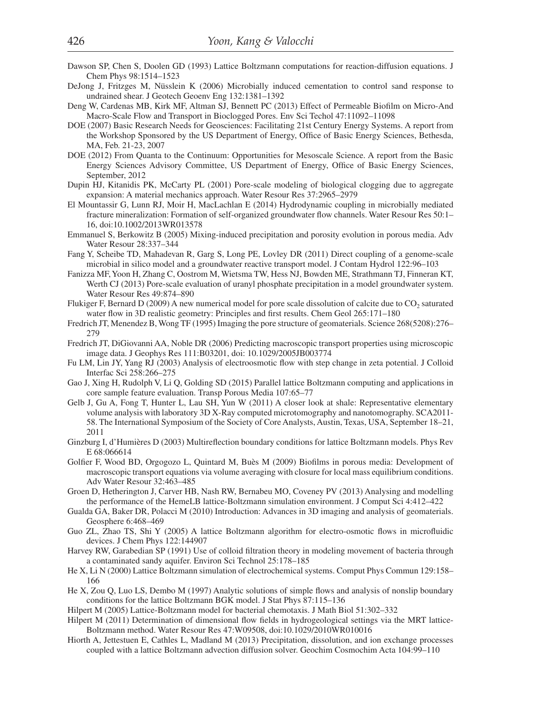- Dawson SP, Chen S, Doolen GD (1993) Lattice Boltzmann computations for reaction-diffusion equations. J Chem Phys 98:1514–1523
- DeJong J, Fritzges M, Nüsslein K (2006) Microbially induced cementation to control sand response to undrained shear. J Geotech Geoenv Eng 132:1381–1392
- Deng W, Cardenas MB, Kirk MF, Altman SJ, Bennett PC (2013) Effect of Permeable Biofilm on Micro-And Macro-Scale Flow and Transport in Bioclogged Pores. Env Sci Techol 47:11092–11098
- DOE (2007) Basic Research Needs for Geosciences: Facilitating 21st Century Energy Systems. A report from the Workshop Sponsored by the US Department of Energy, Office of Basic Energy Sciences, Bethesda, MA, Feb. 21-23, 2007
- DOE (2012) From Quanta to the Continuum: Opportunities for Mesoscale Science. A report from the Basic Energy Sciences Advisory Committee, US Department of Energy, Office of Basic Energy Sciences, September, 2012
- Dupin HJ, Kitanidis PK, McCarty PL (2001) Pore-scale modeling of biological clogging due to aggregate expansion: A material mechanics approach. Water Resour Res 37:2965–2979
- El Mountassir G, Lunn RJ, Moir H, MacLachlan E (2014) Hydrodynamic coupling in microbially mediated fracture mineralization: Formation of self-organized groundwater flow channels. Water Resour Res 50:1– 16, doi:10.1002/2013WR013578
- Emmanuel S, Berkowitz B (2005) Mixing-induced precipitation and porosity evolution in porous media. Adv Water Resour 28:337–344
- Fang Y, Scheibe TD, Mahadevan R, Garg S, Long PE, Lovley DR (2011) Direct coupling of a genome-scale microbial in silico model and a groundwater reactive transport model. J Contam Hydrol 122:96–103
- Fanizza MF, Yoon H, Zhang C, Oostrom M, Wietsma TW, Hess NJ, Bowden ME, Strathmann TJ, Finneran KT, Werth CJ (2013) Pore-scale evaluation of uranyl phosphate precipitation in a model groundwater system. Water Resour Res 49:874–890
- Flukiger F, Bernard D (2009) A new numerical model for pore scale dissolution of calcite due to  $CO<sub>2</sub>$  saturated water flow in 3D realistic geometry: Principles and first results. Chem Geol 265:171–180
- Fredrich JT, Menendez B, Wong TF (1995) Imaging the pore structure of geomaterials. Science 268(5208):276– 279
- Fredrich JT, DiGiovanni AA, Noble DR (2006) Predicting macroscopic transport properties using microscopic image data. J Geophys Res 111:B03201, doi: 10.1029/2005JB003774
- Fu LM, Lin JY, Yang RJ (2003) Analysis of electroosmotic flow with step change in zeta potential. J Colloid Interfac Sci 258:266–275
- Gao J, Xing H, Rudolph V, Li Q, Golding SD (2015) Parallel lattice Boltzmann computing and applications in core sample feature evaluation. Transp Porous Media 107:65–77
- Gelb J, Gu A, Fong T, Hunter L, Lau SH, Yun W (2011) A closer look at shale: Representative elementary volume analysis with laboratory 3D X-Ray computed microtomography and nanotomography. SCA2011- 58. The International Symposium of the Society of Core Analysts, Austin, Texas, USA, September 18–21, 2011
- Ginzburg I, d'Humières D (2003) Multireflection boundary conditions for lattice Boltzmann models. Phys Rev E 68:066614
- Golfier F, Wood BD, Orgogozo L, Quintard M, Buès M (2009) Biofilms in porous media: Development of macroscopic transport equations via volume averaging with closure for local mass equilibrium conditions. Adv Water Resour 32:463–485
- Groen D, Hetherington J, Carver HB, Nash RW, Bernabeu MO, Coveney PV (2013) Analysing and modelling the performance of the HemeLB lattice-Boltzmann simulation environment. J Comput Sci 4:412–422
- Gualda GA, Baker DR, Polacci M (2010) Introduction: Advances in 3D imaging and analysis of geomaterials. Geosphere 6:468–469
- Guo ZL, Zhao TS, Shi Y (2005) A lattice Boltzmann algorithm for electro-osmotic flows in microfluidic devices. J Chem Phys 122:144907
- Harvey RW, Garabedian SP (1991) Use of colloid filtration theory in modeling movement of bacteria through a contaminated sandy aquifer. Environ Sci Technol 25:178–185
- He X, Li N (2000) Lattice Boltzmann simulation of electrochemical systems. Comput Phys Commun 129:158– 166
- He X, Zou Q, Luo LS, Dembo M (1997) Analytic solutions of simple flows and analysis of nonslip boundary conditions for the lattice Boltzmann BGK model. J Stat Phys 87:115–136
- Hilpert M (2005) Lattice-Boltzmann model for bacterial chemotaxis. J Math Biol 51:302–332
- Hilpert M (2011) Determination of dimensional flow fields in hydrogeological settings via the MRT lattice-Boltzmann method. Water Resour Res 47:W09508, doi:10.1029/2010WR010016
- Hiorth A, Jettestuen E, Cathles L, Madland M (2013) Precipitation, dissolution, and ion exchange processes coupled with a lattice Boltzmann advection diffusion solver. Geochim Cosmochim Acta 104:99–110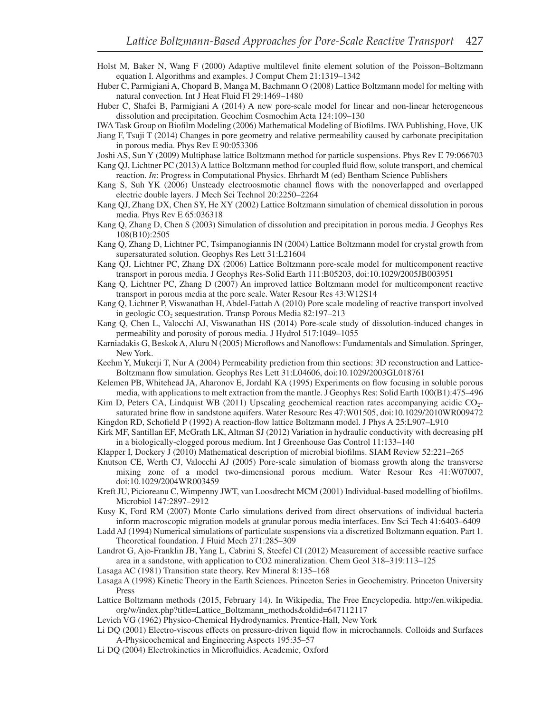- Holst M, Baker N, Wang F (2000) Adaptive multilevel finite element solution of the Poisson–Boltzmann equation I. Algorithms and examples. J Comput Chem 21:1319–1342
- Huber C, Parmigiani A, Chopard B, Manga M, Bachmann O (2008) Lattice Boltzmann model for melting with natural convection. Int J Heat Fluid Fl 29:1469–1480
- Huber C, Shafei B, Parmigiani A (2014) A new pore-scale model for linear and non-linear heterogeneous dissolution and precipitation. Geochim Cosmochim Acta 124:109–130

IWA Task Group on Biofilm Modeling (2006) Mathematical Modeling of Biofilms. IWA Publishing, Hove, UK

Jiang F, Tsuji T (2014) Changes in pore geometry and relative permeability caused by carbonate precipitation in porous media. Phys Rev E 90:053306

Joshi AS, Sun Y (2009) Multiphase lattice Boltzmann method for particle suspensions. Phys Rev E 79:066703

- Kang QJ, Lichtner PC (2013) A lattice Boltzmann method for coupled fluid flow, solute transport, and chemical reaction. *In*: Progress in Computational Physics. Ehrhardt M (ed) Bentham Science Publishers
- Kang S, Suh YK (2006) Unsteady electroosmotic channel flows with the nonoverlapped and overlapped electric double layers. J Mech Sci Technol 20:2250–2264
- Kang QJ, Zhang DX, Chen SY, He XY (2002) Lattice Boltzmann simulation of chemical dissolution in porous media. Phys Rev E 65:036318
- Kang Q, Zhang D, Chen S (2003) Simulation of dissolution and precipitation in porous media. J Geophys Res 108(B10):2505
- Kang Q, Zhang D, Lichtner PC, Tsimpanogiannis IN (2004) Lattice Boltzmann model for crystal growth from supersaturated solution. Geophys Res Lett 31:L21604
- Kang QJ, Lichtner PC, Zhang DX (2006) Lattice Boltzmann pore-scale model for multicomponent reactive transport in porous media. J Geophys Res-Solid Earth 111:B05203, doi:10.1029/2005JB003951
- Kang Q, Lichtner PC, Zhang D (2007) An improved lattice Boltzmann model for multicomponent reactive transport in porous media at the pore scale. Water Resour Res 43:W12S14
- Kang Q, Lichtner P, Viswanathan H, Abdel-Fattah A (2010) Pore scale modeling of reactive transport involved in geologic  $CO_2$  sequestration. Transp Porous Media 82:197–213
- Kang Q, Chen L, Valocchi AJ, Viswanathan HS (2014) Pore-scale study of dissolution-induced changes in permeability and porosity of porous media. J Hydrol 517:1049–1055
- Karniadakis G, Beskok A, Aluru N (2005) Microflows and Nanoflows: Fundamentals and Simulation. Springer, New York.
- Keehm Y, Mukerji T, Nur A (2004) Permeability prediction from thin sections: 3D reconstruction and Lattice-Boltzmann flow simulation. Geophys Res Lett 31:L04606, doi:10.1029/2003GL018761
- Kelemen PB, Whitehead JA, Aharonov E, Jordahl KA (1995) Experiments on flow focusing in soluble porous media, with applications to melt extraction from the mantle. J Geophys Res: Solid Earth 100(B1):475–496
- Kim D, Peters CA, Lindquist WB (2011) Upscaling geochemical reaction rates accompanying acidic CO<sub>2</sub>saturated brine flow in sandstone aquifers. Water Resourc Res 47:W01505, doi:10.1029/2010WR009472
- Kingdon RD, Schofield P (1992) A reaction-flow lattice Boltzmann model. J Phys A 25:L907–L910
- Kirk MF, Santillan EF, McGrath LK, Altman SJ (2012) Variation in hydraulic conductivity with decreasing pH in a biologically-clogged porous medium. Int J Greenhouse Gas Control 11:133–140
- Klapper I, Dockery J (2010) Mathematical description of microbial biofilms. SIAM Review 52:221–265
- Knutson CE, Werth CJ, Valocchi AJ (2005) Pore-scale simulation of biomass growth along the transverse mixing zone of a model two-dimensional porous medium. Water Resour Res 41:W07007, doi:10.1029/2004WR003459
- Kreft JU, Picioreanu C, Wimpenny JWT, van Loosdrecht MCM (2001) Individual-based modelling of biofilms. Microbiol 147:2897–2912
- Kusy K, Ford RM (2007) Monte Carlo simulations derived from direct observations of individual bacteria inform macroscopic migration models at granular porous media interfaces. Env Sci Tech 41:6403–6409
- Ladd AJ (1994) Numerical simulations of particulate suspensions via a discretized Boltzmann equation. Part 1. Theoretical foundation. J Fluid Mech 271:285–309
- Landrot G, Ajo-Franklin JB, Yang L, Cabrini S, Steefel CI (2012) Measurement of accessible reactive surface area in a sandstone, with application to CO2 mineralization. Chem Geol 318–319:113–125
- Lasaga AC (1981) Transition state theory. Rev Mineral 8:135–168
- Lasaga A (1998) Kinetic Theory in the Earth Sciences. Princeton Series in Geochemistry. Princeton University Press
- Lattice Boltzmann methods (2015, February 14). In Wikipedia, The Free Encyclopedia. http://en.wikipedia. org/w/index.php?title=Lattice\_Boltzmann\_methods&oldid=647112117
- Levich VG (1962) Physico-Chemical Hydrodynamics. Prentice-Hall, New York
- Li DQ (2001) Electro-viscous effects on pressure-driven liquid flow in microchannels. Colloids and Surfaces A-Physicochemical and Engineering Aspects 195:35–57
- Li DQ (2004) Electrokinetics in Microfluidics. Academic, Oxford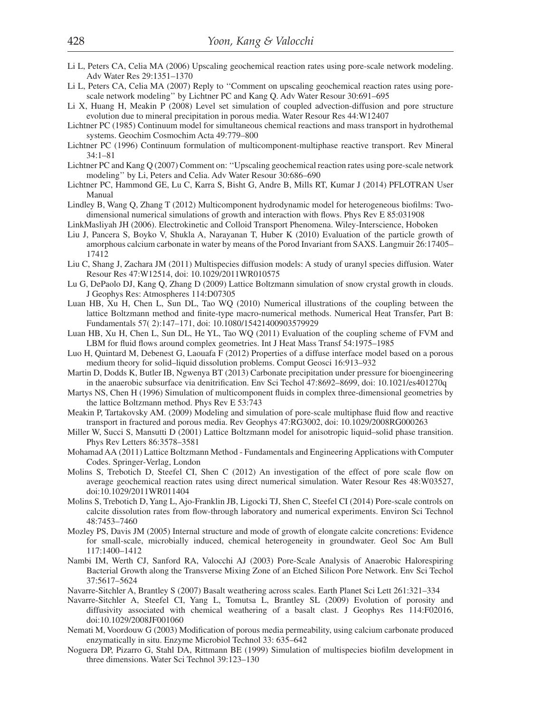- Li L, Peters CA, Celia MA (2006) Upscaling geochemical reaction rates using pore-scale network modeling. Adv Water Res 29:1351–1370
- Li L, Peters CA, Celia MA (2007) Reply to ''Comment on upscaling geochemical reaction rates using porescale network modeling'' by Lichtner PC and Kang Q. Adv Water Resour 30:691–695
- Li X, Huang H, Meakin P (2008) Level set simulation of coupled advection-diffusion and pore structure evolution due to mineral precipitation in porous media. Water Resour Res 44:W12407
- Lichtner PC (1985) Continuum model for simultaneous chemical reactions and mass transport in hydrothemal systems. Geochim Cosmochim Acta 49:779–800
- Lichtner PC (1996) Continuum formulation of multicomponent-multiphase reactive transport. Rev Mineral 34:1–81
- Lichtner PC and Kang Q (2007) Comment on: ''Upscaling geochemical reaction rates using pore-scale network modeling'' by Li, Peters and Celia. Adv Water Resour 30:686–690
- Lichtner PC, Hammond GE, Lu C, Karra S, Bisht G, Andre B, Mills RT, Kumar J (2014) PFLOTRAN User Manual
- Lindley B, Wang Q, Zhang T (2012) Multicomponent hydrodynamic model for heterogeneous biofilms: Twodimensional numerical simulations of growth and interaction with flows. Phys Rev E 85:031908
- LinkMasliyah JH (2006). Electrokinetic and Colloid Transport Phenomena. Wiley-Interscience, Hoboken
- Liu J, Pancera S, Boyko V, Shukla A, Narayanan T, Huber K (2010) Evaluation of the particle growth of amorphous calcium carbonate in water by means of the Porod Invariant from SAXS. Langmuir 26:17405– 17412
- Liu C, Shang J, Zachara JM (2011) Multispecies diffusion models: A study of uranyl species diffusion. Water Resour Res 47:W12514, doi: 10.1029/2011WR010575
- Lu G, DePaolo DJ, Kang Q, Zhang D (2009) Lattice Boltzmann simulation of snow crystal growth in clouds. J Geophys Res: Atmospheres 114:D07305
- Luan HB, Xu H, Chen L, Sun DL, Tao WQ (2010) Numerical illustrations of the coupling between the lattice Boltzmann method and finite-type macro-numerical methods. Numerical Heat Transfer, Part B: Fundamentals 57( 2):147–171, doi: 10.1080/15421400903579929
- Luan HB, Xu H, Chen L, Sun DL, He YL, Tao WQ (2011) Evaluation of the coupling scheme of FVM and LBM for fluid flows around complex geometries. Int J Heat Mass Transf 54:1975–1985
- Luo H, Quintard M, Debenest G, Laouafa F (2012) Properties of a diffuse interface model based on a porous medium theory for solid–liquid dissolution problems. Comput Geosci 16:913–932
- Martin D, Dodds K, Butler IB, Ngwenya BT (2013) Carbonate precipitation under pressure for bioengineering in the anaerobic subsurface via denitrification. Env Sci Techol 47:8692-8699, doi: 10.1021/es401270q
- Martys NS, Chen H (1996) Simulation of multicomponent fluids in complex three-dimensional geometries by the lattice Boltzmann method. Phys Rev E 53:743
- Meakin P, Tartakovsky AM. (2009) Modeling and simulation of pore-scale multiphase fluid flow and reactive transport in fractured and porous media. Rev Geophys 47:RG3002, doi: 10.1029/2008RG000263
- Miller W, Succi S, Mansutti D (2001) Lattice Boltzmann model for anisotropic liquid–solid phase transition. Phys Rev Letters 86:3578–3581
- Mohamad AA (2011) Lattice Boltzmann Method Fundamentals and Engineering Applications with Computer Codes. Springer-Verlag, London
- Molins S, Trebotich D, Steefel CI, Shen C  $(2012)$  An investigation of the effect of pore scale flow on average geochemical reaction rates using direct numerical simulation. Water Resour Res 48:W03527, doi:10.1029/2011WR011404
- Molins S, Trebotich D, Yang L, Ajo-Franklin JB, Ligocki TJ, Shen C, Steefel CI (2014) Pore-scale controls on calcite dissolution rates from flow-through laboratory and numerical experiments. Environ Sci Technol 48:7453–7460
- Mozley PS, Davis JM (2005) Internal structure and mode of growth of elongate calcite concretions: Evidence for small-scale, microbially induced, chemical heterogeneity in groundwater. Geol Soc Am Bull 117:1400–1412
- Nambi IM, Werth CJ, Sanford RA, Valocchi AJ (2003) Pore-Scale Analysis of Anaerobic Halorespiring Bacterial Growth along the Transverse Mixing Zone of an Etched Silicon Pore Network. Env Sci Techol 37:5617–5624
- Navarre-Sitchler A, Brantley S (2007) Basalt weathering across scales. Earth Planet Sci Lett 261:321–334
- Navarre-Sitchler A, Steefel CI, Yang L, Tomutsa L, Brantley SL (2009) Evolution of porosity and diffusivity associated with chemical weathering of a basalt clast. J Geophys Res 114:F02016, doi:10.1029/2008JF001060
- Nemati M, Voordouw G (2003) Modification of porous media permeability, using calcium carbonate produced enzymatically in situ. Enzyme Microbiol Technol 33: 635–642
- Noguera DP, Pizarro G, Stahl DA, Rittmann BE (1999) Simulation of multispecies biofilm development in three dimensions. Water Sci Technol 39:123–130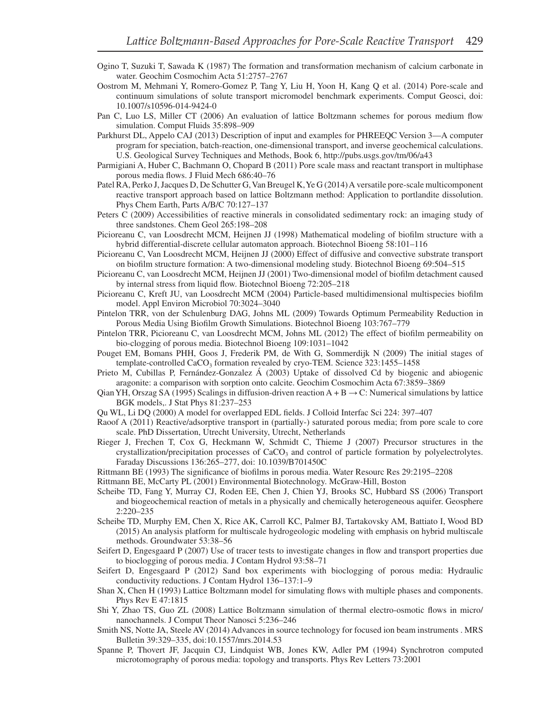- Ogino T, Suzuki T, Sawada K (1987) The formation and transformation mechanism of calcium carbonate in water. Geochim Cosmochim Acta 51:2757–2767
- Oostrom M, Mehmani Y, Romero-Gomez P, Tang Y, Liu H, Yoon H, Kang Q et al. (2014) Pore-scale and continuum simulations of solute transport micromodel benchmark experiments. Comput Geosci, doi: 10.1007/s10596-014-9424-0
- Pan C, Luo LS, Miller CT (2006) An evaluation of lattice Boltzmann schemes for porous medium flow simulation. Comput Fluids 35:898–909
- Parkhurst DL, Appelo CAJ (2013) Description of input and examples for PHREEQC Version 3—A computer program for speciation, batch-reaction, one-dimensional transport, and inverse geochemical calculations. U.S. Geological Survey Techniques and Methods, Book 6, http://pubs.usgs.gov/tm/06/a43
- Parmigiani A, Huber C, Bachmann O, Chopard B (2011) Pore scale mass and reactant transport in multiphase porous media flows. J Fluid Mech 686:40–76
- Patel RA, Perko J, Jacques D, De Schutter G, Van Breugel K, Ye G (2014) A versatile pore-scale multicomponent reactive transport approach based on lattice Boltzmann method: Application to portlandite dissolution. Phys Chem Earth, Parts A/B/C 70:127–137
- Peters C (2009) Accessibilities of reactive minerals in consolidated sedimentary rock: an imaging study of three sandstones. Chem Geol 265:198–208
- Picioreanu C, van Loosdrecht MCM, Heijnen JJ (1998) Mathematical modeling of biofilm structure with a hybrid differential-discrete cellular automaton approach. Biotechnol Bioeng 58:101–116
- Picioreanu C, Van Loosdrecht MCM, Heijnen JJ (2000) Effect of diffusive and convective substrate transport on biofilm structure formation: A two-dimensional modeling study. Biotechnol Bioeng 69:504–515
- Picioreanu C, van Loosdrecht MCM, Heijnen JJ (2001) Two-dimensional model of biofilm detachment caused by internal stress from liquid flow. Biotechnol Bioeng 72:205–218
- Picioreanu C, Kreft JU, van Loosdrecht MCM (2004) Particle-based multidimensional multispecies biofilm model. Appl Environ Microbiol 70:3024–3040
- Pintelon TRR, von der Schulenburg DAG, Johns ML (2009) Towards Optimum Permeability Reduction in Porous Media Using Biofilm Growth Simulations. Biotechnol Bioeng 103:767-779
- Pintelon TRR, Picioreanu C, van Loosdrecht MCM, Johns ML (2012) The effect of biofilm permeability on bio-clogging of porous media. Biotechnol Bioeng 109:1031–1042
- Pouget EM, Bomans PHH, Goos J, Frederik PM, de With G, Sommerdijk N (2009) The initial stages of template-controlled  $CaCO<sub>3</sub>$  formation revealed by cryo-TEM. Science 323:1455–1458
- Prieto M, Cubillas P, Fernández-Gonzalez Á (2003) Uptake of dissolved Cd by biogenic and abiogenic aragonite: a comparison with sorption onto calcite. Geochim Cosmochim Acta 67:3859–3869
- Qian YH, Orszag SA (1995) Scalings in diffusion-driven reaction A + B *→* C: Numerical simulations by lattice BGK models,. J Stat Phys 81:237–253
- Qu WL, Li DQ (2000) A model for overlapped EDL fields. J Colloid Interfac Sci 224: 397–407
- Raoof A (2011) Reactive/adsorptive transport in (partially-) saturated porous media; from pore scale to core scale. PhD Dissertation, Utrecht University, Utrecht, Netherlands
- Rieger J, Frechen T, Cox G, Heckmann W, Schmidt C, Thieme J (2007) Precursor structures in the crystallization/precipitation processes of CaCO<sub>3</sub> and control of particle formation by polyelectrolytes. Faraday Discussions 136:265–277, doi: 10.1039/B701450C
- Rittmann BE (1993) The significance of biofilms in porous media. Water Resourc Res 29:2195–2208
- Rittmann BE, McCarty PL (2001) Environmental Biotechnology. McGraw-Hill, Boston
- Scheibe TD, Fang Y, Murray CJ, Roden EE, Chen J, Chien YJ, Brooks SC, Hubbard SS (2006) Transport and biogeochemical reaction of metals in a physically and chemically heterogeneous aquifer. Geosphere 2:220–235
- Scheibe TD, Murphy EM, Chen X, Rice AK, Carroll KC, Palmer BJ, Tartakovsky AM, Battiato I, Wood BD (2015) An analysis platform for multiscale hydrogeologic modeling with emphasis on hybrid multiscale methods. Groundwater 53:38–56
- Seifert D, Engesgaard P (2007) Use of tracer tests to investigate changes in flow and transport properties due to bioclogging of porous media. J Contam Hydrol 93:58–71
- Seifert D, Engesgaard P (2012) Sand box experiments with bioclogging of porous media: Hydraulic conductivity reductions. J Contam Hydrol 136–137:1–9
- Shan X, Chen H (1993) Lattice Boltzmann model for simulating flows with multiple phases and components. Phys Rev E 47:1815
- Shi Y, Zhao TS, Guo ZL (2008) Lattice Boltzmann simulation of thermal electro-osmotic flows in micro/ nanochannels. J Comput Theor Nanosci 5:236–246
- Smith NS, Notte JA, Steele AV (2014) Advances in source technology for focused ion beam instruments . MRS Bulletin 39:329–335, doi:10.1557/mrs.2014.53
- Spanne P, Thovert JF, Jacquin CJ, Lindquist WB, Jones KW, Adler PM (1994) Synchrotron computed microtomography of porous media: topology and transports. Phys Rev Letters 73:2001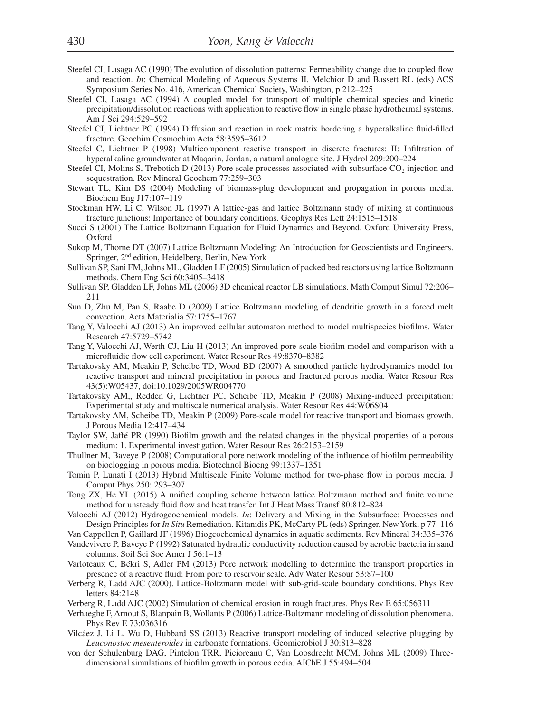- Steefel CI, Lasaga AC (1990) The evolution of dissolution patterns: Permeability change due to coupled flow and reaction. *In*: Chemical Modeling of Aqueous Systems II. Melchior D and Bassett RL (eds) ACS Symposium Series No. 416, American Chemical Society, Washington, p 212–225
- Steefel CI, Lasaga AC (1994) A coupled model for transport of multiple chemical species and kinetic precipitation/dissolution reactions with application to reactive flow in single phase hydrothermal systems. Am J Sci 294:529–592
- Steefel CI, Lichtner PC (1994) Diffusion and reaction in rock matrix bordering a hyperalkaline fluid-filled fracture. Geochim Cosmochim Acta 58:3595–3612
- Steefel C, Lichtner P (1998) Multicomponent reactive transport in discrete fractures: II: Infiltration of hyperalkaline groundwater at Maqarin, Jordan, a natural analogue site. J Hydrol 209:200–224
- Steefel CI, Molins S, Trebotich D (2013) Pore scale processes associated with subsurface  $CO<sub>2</sub>$  injection and sequestration. Rev Mineral Geochem 77:259–303
- Stewart TL, Kim DS (2004) Modeling of biomass-plug development and propagation in porous media. Biochem Eng J17:107–119
- Stockman HW, Li C, Wilson JL (1997) A lattice-gas and lattice Boltzmann study of mixing at continuous fracture junctions: Importance of boundary conditions. Geophys Res Lett 24:1515–1518
- Succi S (2001) The Lattice Boltzmann Equation for Fluid Dynamics and Beyond. Oxford University Press, Oxford
- Sukop M, Thorne DT (2007) Lattice Boltzmann Modeling: An Introduction for Geoscientists and Engineers. Springer, 2nd edition, Heidelberg, Berlin, New York
- Sullivan SP, Sani FM, Johns ML, Gladden LF (2005) Simulation of packed bed reactors using lattice Boltzmann methods. Chem Eng Sci 60:3405–3418
- Sullivan SP, Gladden LF, Johns ML (2006) 3D chemical reactor LB simulations. Math Comput Simul 72:206– 211
- Sun D, Zhu M, Pan S, Raabe D (2009) Lattice Boltzmann modeling of dendritic growth in a forced melt convection. Acta Materialia 57:1755–1767
- Tang Y, Valocchi AJ (2013) An improved cellular automaton method to model multispecies biofilms. Water Research 47:5729–5742
- Tang Y, Valocchi AJ, Werth CJ, Liu H (2013) An improved pore-scale biofilm model and comparison with a microfluidic flow cell experiment. Water Resour Res 49:8370-8382
- Tartakovsky AM, Meakin P, Scheibe TD, Wood BD (2007) A smoothed particle hydrodynamics model for reactive transport and mineral precipitation in porous and fractured porous media. Water Resour Res 43(5):W05437, doi:10.1029/2005WR004770
- Tartakovsky AM,, Redden G, Lichtner PC, Scheibe TD, Meakin P (2008) Mixing-induced precipitation: Experimental study and multiscale numerical analysis. Water Resour Res 44:W06S04
- Tartakovsky AM, Scheibe TD, Meakin P (2009) Pore-scale model for reactive transport and biomass growth. J Porous Media 12:417–434
- Taylor SW, Jaffé PR (1990) Biofilm growth and the related changes in the physical properties of a porous medium: 1. Experimental investigation. Water Resour Res 26:2153–2159
- Thullner M, Baveye P (2008) Computational pore network modeling of the influence of biofilm permeability on bioclogging in porous media. Biotechnol Bioeng 99:1337–1351
- Tomin P, Lunati I (2013) Hybrid Multiscale Finite Volume method for two-phase flow in porous media. J Comput Phys 250: 293–307
- Tong ZX, He YL (2015) A unified coupling scheme between lattice Boltzmann method and finite volume method for unsteady fluid flow and heat transfer. Int J Heat Mass Transf 80:812-824
- Valocchi AJ (2012) Hydrogeochemical models. *In*: Delivery and Mixing in the Subsurface: Processes and Design Principles for *In Situ* Remediation. Kitanidis PK, McCarty PL (eds) Springer, New York, p 77–116
- Van Cappellen P, Gaillard JF (1996) Biogeochemical dynamics in aquatic sediments. Rev Mineral 34:335–376
- Vandevivere P, Baveye P (1992) Saturated hydraulic conductivity reduction caused by aerobic bacteria in sand columns. Soil Sci Soc Amer J 56:1–13
- Varloteaux C, Békri S, Adler PM (2013) Pore network modelling to determine the transport properties in presence of a reactive fluid: From pore to reservoir scale. Adv Water Resour 53:87–100
- Verberg R, Ladd AJC (2000). Lattice-Boltzmann model with sub-grid-scale boundary conditions. Phys Rev letters 84:2148
- Verberg R, Ladd AJC (2002) Simulation of chemical erosion in rough fractures. Phys Rev E 65:056311
- Verhaeghe F, Arnout S, Blanpain B, Wollants P (2006) Lattice-Boltzmann modeling of dissolution phenomena. Phys Rev E 73:036316
- Vilcáez J, Li L, Wu D, Hubbard SS (2013) Reactive transport modeling of induced selective plugging by *Leuconostoc mesenteroides* in carbonate formations. Geomicrobiol J 30:813–828
- von der Schulenburg DAG, Pintelon TRR, Picioreanu C, Van Loosdrecht MCM, Johns ML (2009) Threedimensional simulations of biofilm growth in porous eedia. AIChE J 55:494-504